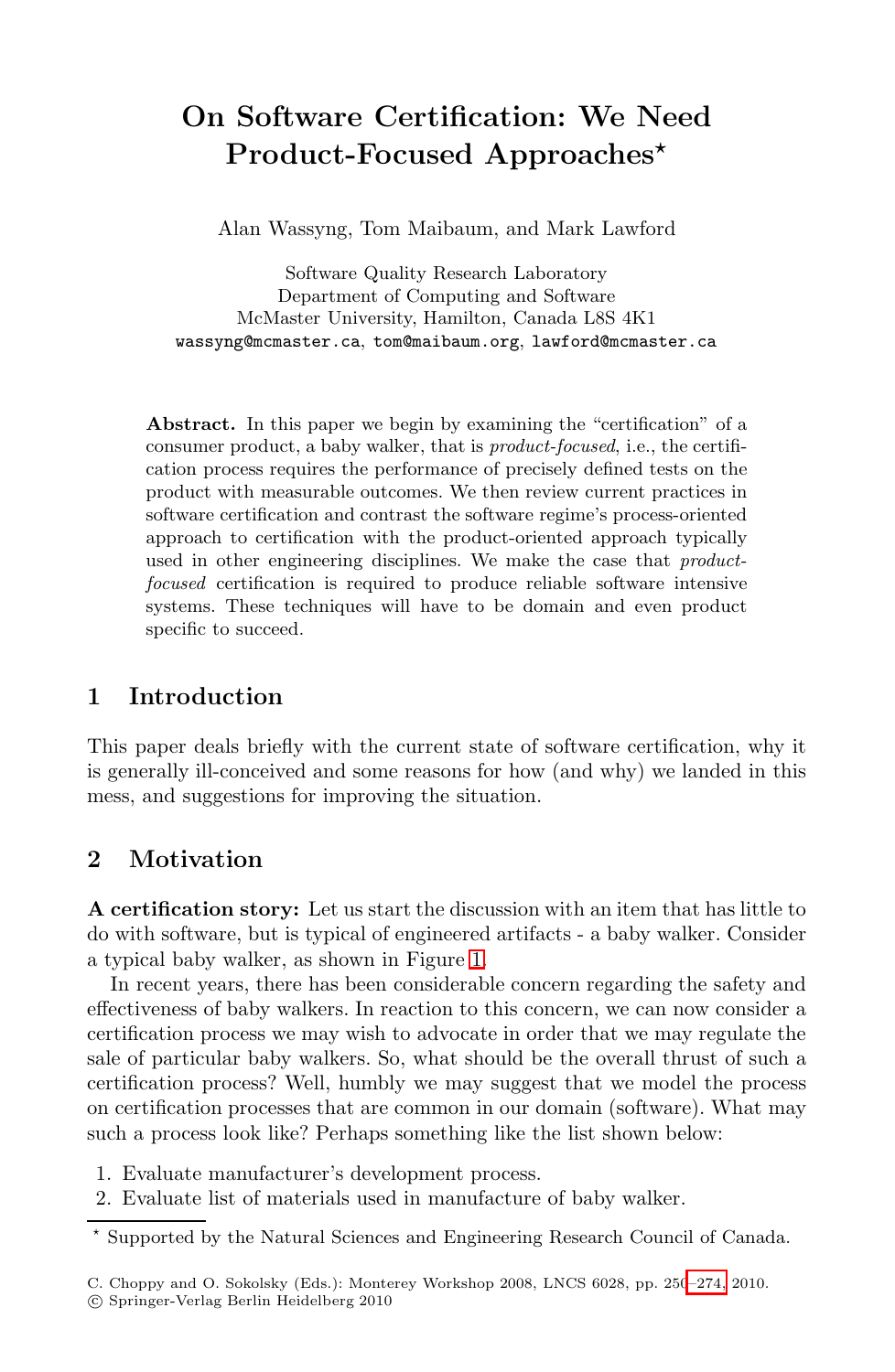# **On Software Certification: We Need Product-Focused Approaches***-*

Alan Wassyng, Tom Maibaum, and Mark Lawford

Software Quality Research Laboratory Department of Computing and Software McMaster University, Hamilton, Canada L8S 4K1 wassyng@mcmaster.ca, tom@maibaum.org, lawford@mcmaster.ca

Abstract. In this paper we begin by examining the "certification" of a consumer product, a baby walker, that is *product-focused*, i.e., the certification process requires the performance of precisely defined tests on the product with measurable outcomes. We then review current practices in software certification and contrast the software regime's process-oriented approach to certification with the product-oriented approach typically used in other engineering disciplines. We make the case that *productfocused* certification is required to produce reliable software intensive systems. These techniques will have to be domain and even product specific to succeed.

### **1 Introduction**

This paper deals briefly with the current state of software certification, why it is generally ill-conceive[d a](#page-1-0)nd some reasons for how (and why) we landed in this mess, and suggestions for improving the situation.

### **2 Motivation**

**A certification story:** Let us start the discussion with an item that has little to do with software, but is typical of engineered artifacts - a baby walker. Consider a typical baby walker, as shown in Figure 1.

In recent years, there has been considerable concern regarding the safety and effectiveness of baby walkers. In reaction to this concern, we can now consider a certification process we may wish to advocate in order that we may regulate the sale of particular baby walkers. So, what should be the overall thrust of such a certification process? Well, humbly we may su[ggest](#page-24-0) that we model the process on certification processes that are common in our domain (software). What may such a process look like? Perhaps something like the list shown below:

- 1. Evaluate manufacturer's development process.
- 2. Evaluate list of materials used in manufacture of baby walker.

<sup>-</sup> Supported by the Natural Sciences and Engineering Research Council of Canada.

C. Choppy and O. Sokolsky (Eds.): Monterey Workshop 2008, LNCS 6028, pp. 250–274, 2010.

<sup>-</sup>c Springer-Verlag Berlin Heidelberg 2010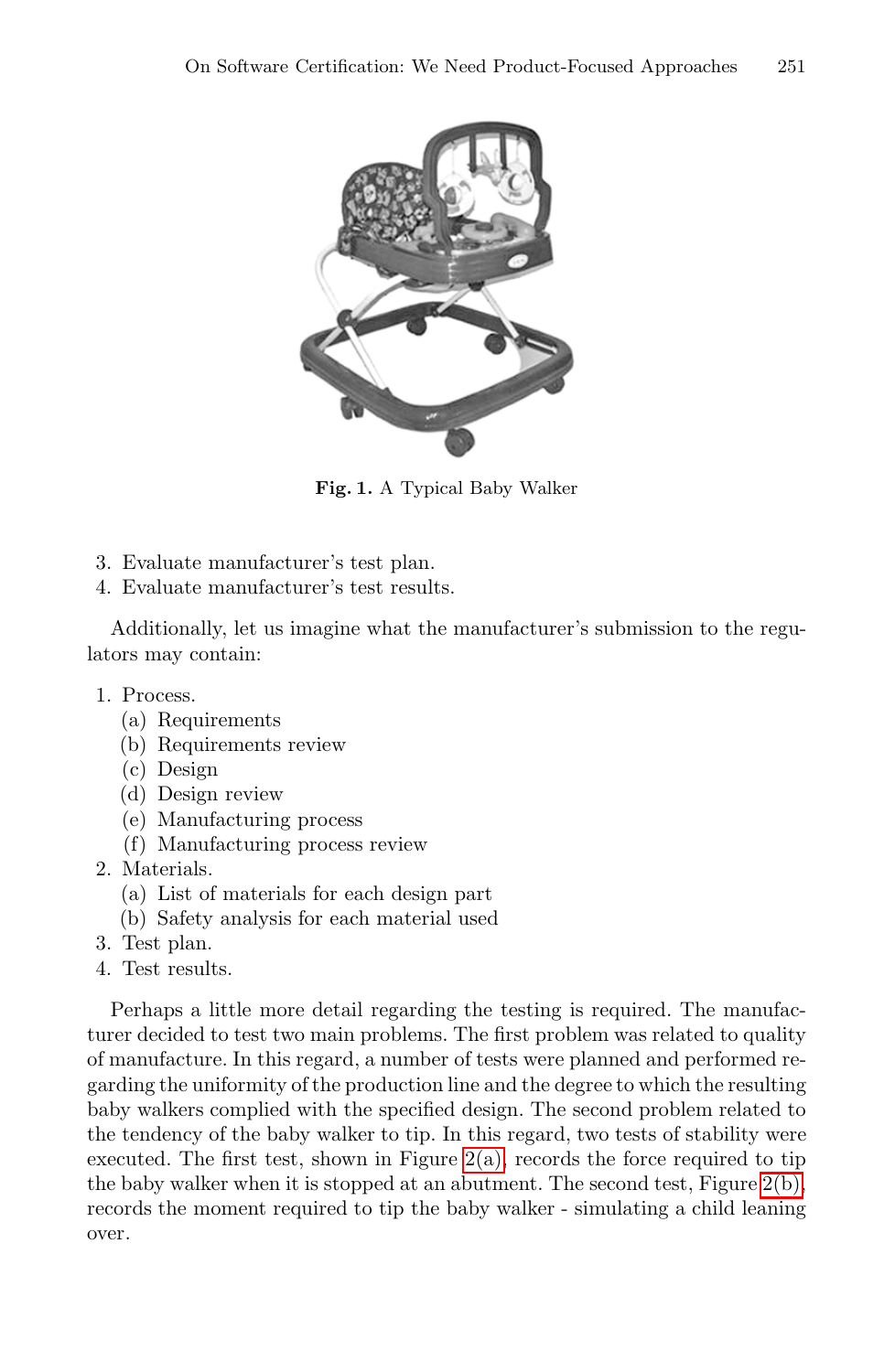<span id="page-1-0"></span>

**Fig. 1.** A Typical Baby Walker

- 3. Evaluate manufacturer's test plan.
- 4. Evaluate manufacturer's test results.

Additionally, let us imagine what the manufacturer's submission to the regulators may contain:

- 1. Process.
	- (a) Requirements
	- (b) Requirements review
	- (c) Design
	- (d) Design review
	- (e) Manufacturing process
	- (f) Manufacturing process review
- 2. Materials.
	- (a) List of materials for each design part
	- (b) Safety analysis for each material used
- 3. Test plan.
- 4. Test results.

Perhaps a little more detail regarding the testing is [requ](#page-2-0)ired. The manufacturer decided to test two main problems. The first problem was related to quality of manufacture. In this regard, a number of tests were planned and performed regarding the uniformity of the production line and the degree to which the resulting baby walkers complied with the specified design. The second problem related to the tendency of the baby walker to tip. In this regard, two tests of stability were executed. The first test, shown in Figure  $2(a)$ , records the force required to tip the baby walker when it is stopped at an abutment. The second test, Figure 2(b), records the moment required to tip the baby walker - simulating a child leaning over.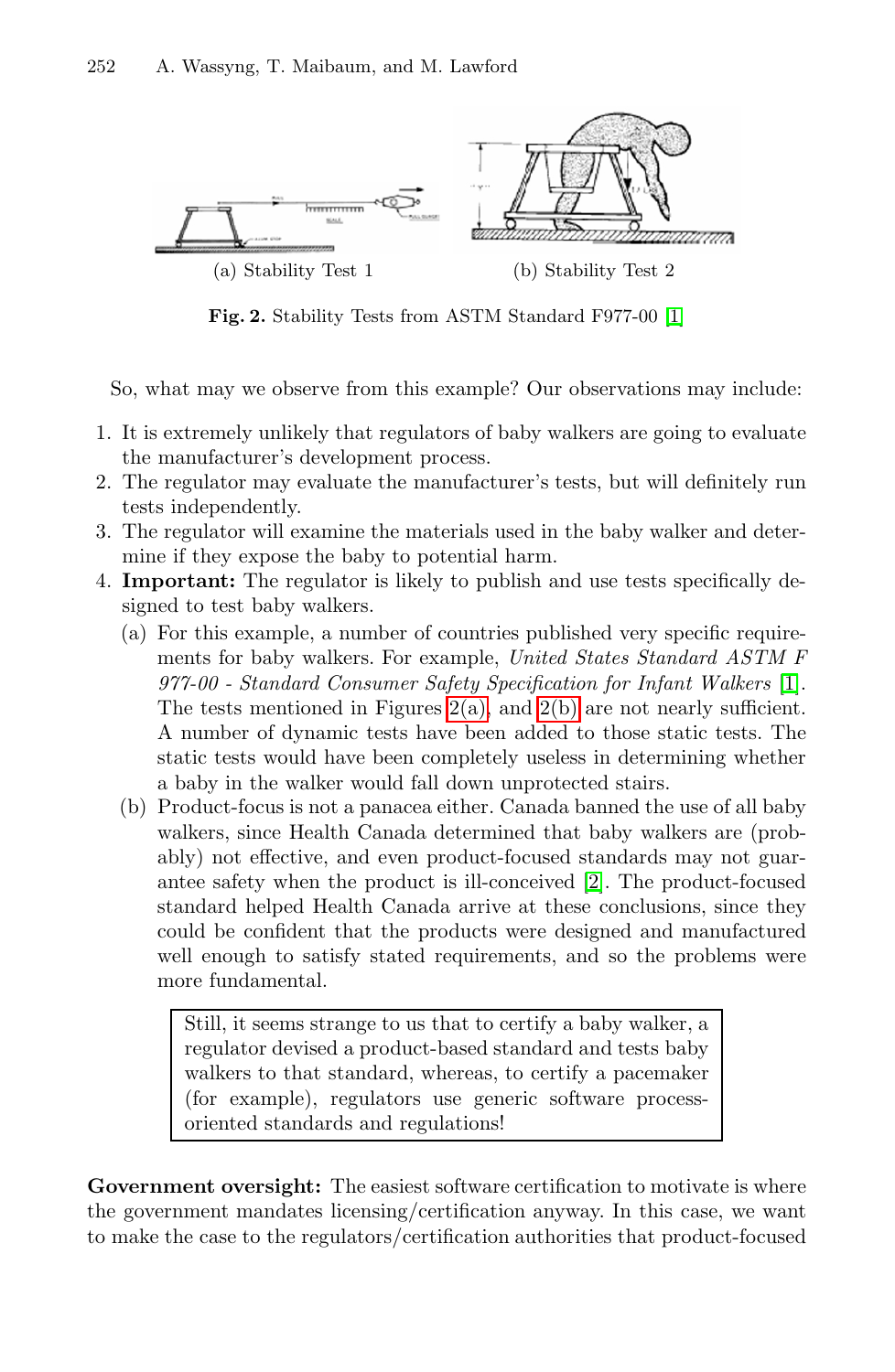<span id="page-2-1"></span><span id="page-2-0"></span>

**Fig. 2.** Stability Tests from ASTM Standard F977-00 [1]

So, what may we observe from this example? Our observations may include:

- 1. It is extremely unlikely that regulators of baby walkers are going to evaluate the manufacturer's development process.
- 2. The regulator may evaluate the manufacturer's tests, [bu](#page-22-0)t will definitely run tests independen[tly.](#page-2-1)
- 3. The regulator will examine [the](#page-2-0) [m](#page-2-0)aterials used in the baby walker and determine if they expose the baby to potential harm.
- 4. **Important:** The regulator is likely to publish and use tests specifically designed to test baby walkers.
	- (a) For this example, a number of countries published very specific requirements for baby walkers. For example, *United States Standard ASTM F 977-00 - Standard Consume[r S](#page-22-1)afety Specification for Infant Walkers* [1]. The tests mentioned in Figures  $2(a)$ , and  $2(b)$  are not nearly sufficient. A number of dynamic tests have been added to those static tests. The static tests would have been completely useless in determining whether a baby in the walker would fall down unprotected stairs.
	- (b) Product-focus is not a panacea either. Canada banned the use of all baby walkers, since Health Canada determined that baby walkers are (probably) not effective, and even product-focused standards may not guarantee safety when the product is ill-conceived [2]. The product-focused standard helped Health Canada arrive at these conclusions, since they could be confident that the products were designed and manufactured well enough to satisfy stated requirements, and so the problems were more fundamental.

Still, it seems strange to us that to certify a baby walker, a regulator devised a product-based standard and tests baby walkers to that standard, whereas, to certify a pacemaker (for example), regulators use generic software processoriented standards and regulations!

**Government oversight:** The easiest software certification to motivate is where the government mandates licensing/certification anyway. In this case, we want to make the case to the regulators/certification authorities that product-focused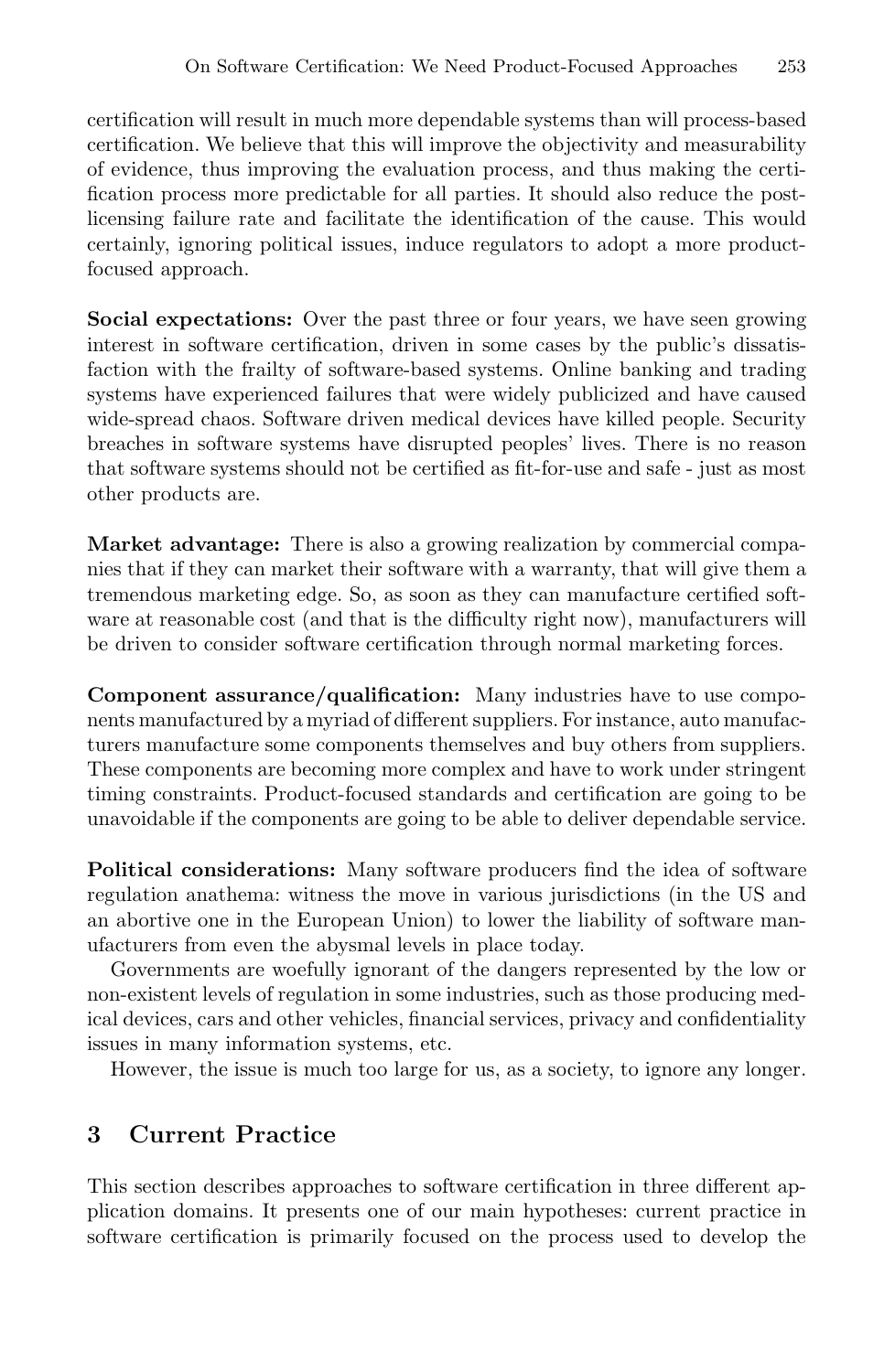certification will result in much more dependable systems than will process-based certification. We believe that this will improve the objectivity and measurability of evidence, thus improving the evaluation process, and thus making the certification process more predictable for all parties. It should also reduce the postlicensing failure rate and facilitate the identification of the cause. This would certainly, ignoring political issues, induce regulators to adopt a more productfocused approach.

**Social expectations:** Over the past three or four years, we have seen growing interest in software certification, driven in some cases by the public's dissatisfaction with the frailty of software-based systems. Online banking and trading systems have experienced failures that were widely publicized and have caused wide-spread chaos. Software driven medical devices have killed people. Security breaches in software systems have disrupted peoples' lives. There is no reason that software systems should not be certified as fit-for-use and safe - just as most other products are.

**Market advantage:** There is also a growing realization by commercial companies that if they can market their software with a warranty, that will give them a tremendous marketing edge. So, as soon as they can manufacture certified software at reasonable cost (and that is the difficulty right now), manufacturers will be driven to consider software certification through normal marketing forces.

**Component assurance/qualification:** Many industries have to use components manufactured by a myriad of different suppliers. For instance, auto manufacturers manufacture some components themselves and buy others from suppliers. These components are becoming more complex and have to work under stringent timing constraints. Product-focused standards and certification are going to be unavoidable if the components are going to be able to deliver dependable service.

**Political considerations:** Many software producers find the idea of software regulation anathema: witness the move in various jurisdictions (in the US and an abortive one in the European Union) to lower the liability of software manufacturers from even the abysmal levels in place today.

Governments are woefully ignorant of the dangers represented by the low or non-existent levels of regulation in some industries, such as those producing medical devices, cars and other vehicles, financial services, privacy and confidentiality issues in many information systems, etc.

However, the issue is much too large for us, as a society, to ignore any longer.

# **3 Current Practice**

This section describes approaches to software certification in three different application domains. It presents one of our main hypotheses: current practice in software certification is primarily focused on the process used to develop the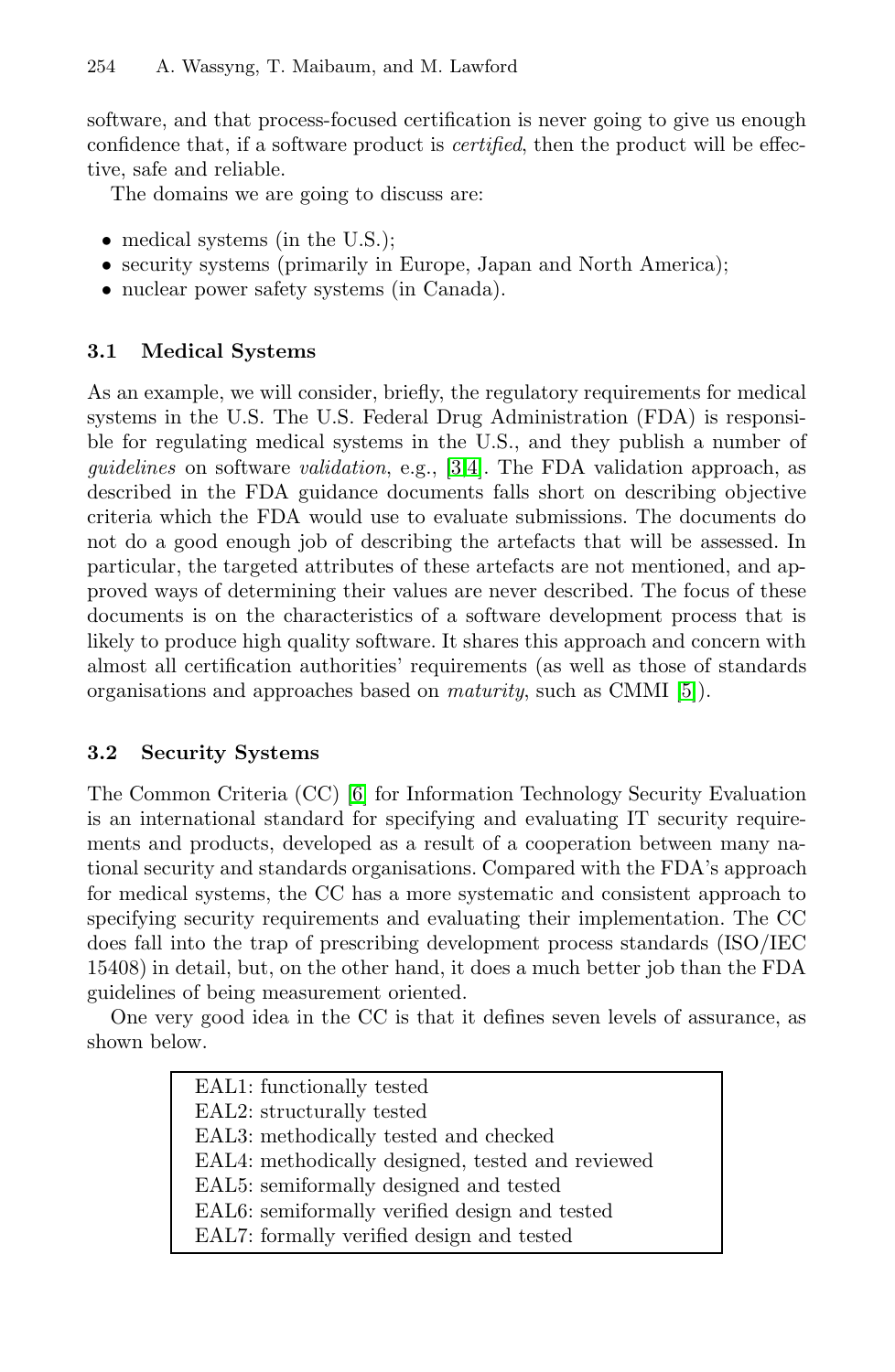software, and that process-focused certification is never going to give us enough confidence that, if a software product is *certified*, then the product will be effective, safe and reliable.

The domains we are going to discuss are:

- medical systems (in the U.S.);
- security systems [\(p](#page-22-2)[ri](#page-22-3)marily in Europe, Japan and North America);
- nuclear power safety systems (in Canada).

### **3.1 Medical Systems**

As an example, we will consider, briefly, the regulatory requirements for medical systems in the U.S. The U.S. Federal Drug Administration (FDA) is responsible for regulating medical systems in the U.S., and they publish a number of *guidelines* on software *validation*, e.g., [3,4]. The FDA validation approach, as described in the FDA guidance documents f[alls](#page-22-4) short on describing objective criteria which the FDA would use to evaluate submissions. The documents do not do a good enough job of describing the artefacts that will be assessed. In particular, the targeted attributes of these artefacts are not mentioned, and approved wa[ys](#page-23-0) of determining their values are never described. The focus of these documents is on the characteristics of a software development process that is likely to produce high quality software. It shares this approach and concern with almost all certification authorities' requirements (as well as those of standards organisations and approaches based on *maturity*, such as CMMI [5]).

### **3.2 Security Systems**

The Common Criteria (CC) [6] for Information Technology Security Evaluation is an international standard for specifying and evaluating IT security requirements and products, developed as a result of a cooperation between many national security and standards organisations. Compared with the FDA's approach for medical systems, the CC has a more systematic and consistent approach to specifying security requirements and evaluating their implementation. The CC does fall into the trap of prescribing development process standards (ISO/IEC 15408) in detail, but, on the other hand, it does a much better job than the FDA guidelines of being measurement oriented.

One very good idea in the CC is that it defines seven levels of assurance, as shown below.

> EAL1: functionally tested EAL2: structurally tested EAL3: methodically tested and checked EAL4: methodically designed, tested and reviewed EAL5: semiformally designed and tested EAL6: semiformally verified design and tested EAL7: formally verified design and tested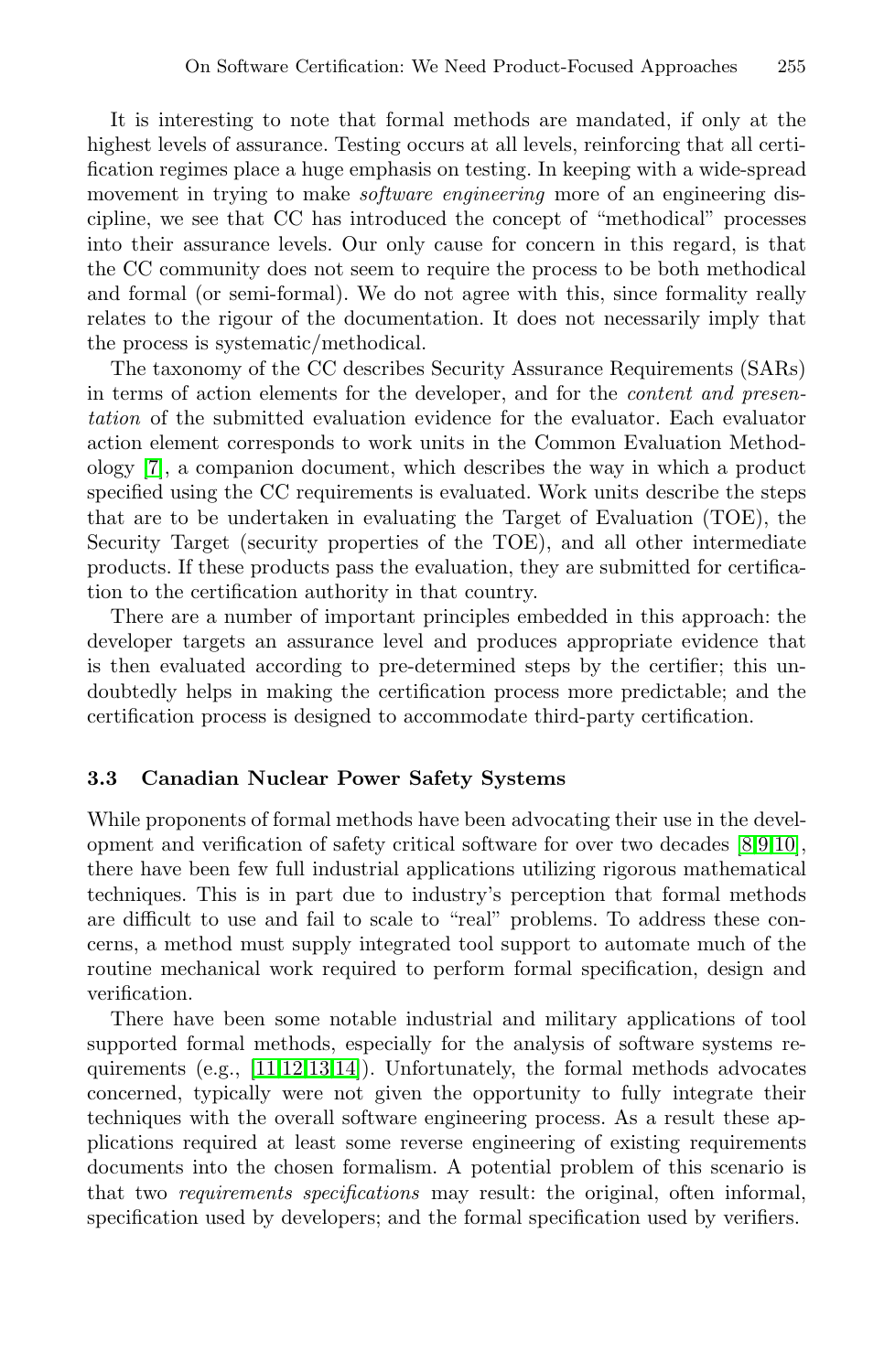It is interesting to note that formal methods are mandated, if only at the highest levels of assurance. Testing occurs at all levels, reinforcing that all certification regimes place a huge emphasis on testing. In keeping with a wide-spread movement in trying to make *software engineering* more of an engineering discipline, we see that CC has introduced the concept of "methodical" processes into their assurance levels. Our only cause for concern in this regard, is that the CC community does not seem to require the process to be both methodical and formal (or semi-formal). We do not agree with this, since formality really relates to the rigour of the documentation. It does not necessarily imply that the process is systematic/methodical.

The taxonomy of the CC describes Security Assurance Requirements (SARs) in terms of action elements for the developer, and for the *content and presentation* of the submitted evaluation evidence for the evaluator. Each evaluator action element corresponds to work units in the Common Evaluation Methodology [7], a companion document, which describes the way in which a product specified using the CC requirements is evaluated. Work units describe the steps that are to be undertaken in evaluating the Target of Evaluation (TOE), the Security Target (security properties of the TOE), and all other intermediate products. If these products pass the evaluation, they are submitted for certification to the certification authority in that country.

There are a number of important principles embedded in this approach: the developer targets an assurance level and produces [ap](#page-23-1)[p](#page-23-2)[rop](#page-23-3)riate evidence that is then evaluated according to pre-determined steps by the certifier; this undoubtedly helps in making the certification process more predictable; and the certification process is designed to accommodate third-party certification.

### **3.3 Canadian Nuclear Power Safety Systems**

While proponents of formal methods have been advocating their use in the development and verification of safety critical software for over two decades [8,9,10], [th](#page-23-4)[ere](#page-23-5) [ha](#page-23-6)[ve](#page-23-7) been few full industrial applications utilizing rigorous mathematical techniques. This is in part due to industry's perception that formal methods are difficult to use and fail to scale to "real" problems. To address these concerns, a method must supply integrated tool support to automate much of the routine mechanical work required to perform formal specification, design and verification.

There have been some notable industrial and military applications of tool supported formal methods, especially for the analysis of software systems requirements (e.g.,  $[11,12,13,14]$ ). Unfortunately, the formal methods advocates concerned, typically were not given the opportunity to fully integrate their techniques with the overall software engineering process. As a result these applications required at least some reverse engineering of existing requirements documents into the chosen formalism. A potential problem of this scenario is that two *requirements specifications* may result: the original, often informal, specification used by developers; and the formal specification used by verifiers.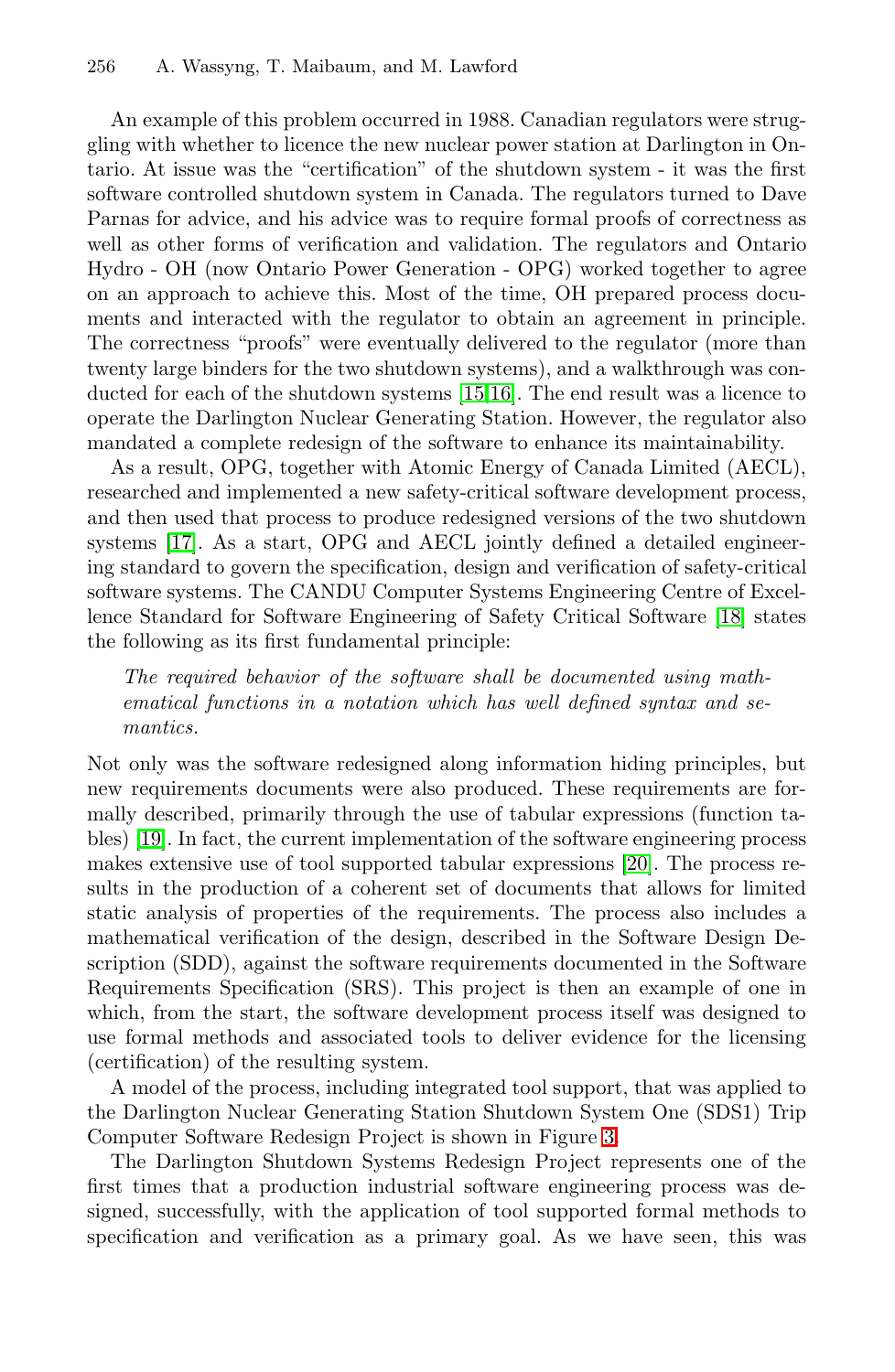An example of this problem occurred in 1988. Canadian regulators were struggling with whether to licence the new nuclear power station at Darlington in Ontario. At issue was the "certification" of the shutdown system - it was the first software controlled sh[utd](#page-23-8)[own](#page-23-9) system in Canada. The regulators turned to Dave Parnas for advice, and his advice was to require formal proofs of correctness as well as other forms of verification and validation. The regulators and Ontario Hydro - OH (now Ontario Power Generation - OPG) worked together to agree on an approach to achieve this. Most of the time, OH prepared process documents and interacted with the regulator to obtain an agreement in principle. The correctness "proofs" were eventually delivered to the regulator (more than twenty large binders for the two shutdown systems), and a walkthrough was conducted for each of the shutdown systems [15,16]. The end result was a licence to operate the Darlington Nuclear Generating Statio[n. H](#page-23-10)owever, the regulator also mandated a complete redesign of the software to enhance its maintainability.

As a result, OPG, together with Atomic Energy of Canada Limited (AECL), researched and implemented a new safety-critical software development process, and then used that process to produce redesigned versions of the two shutdown systems [17]. As a start, OPG and AECL jointly defined a detailed engineering standard to govern the specification, design and verification of safety-critical software systems. The CANDU Computer Systems Engineering Centre of Excellence Standard for Software Engineering of Safety Critical Software [18] states the following as its first fundamental principle:

*The required behavior of the softwa[re](#page-23-11) [s](#page-23-11)hall be documented using mathematical functions in a notation which has well defined syntax and semantics.*

Not only was the software redesigned along information hiding principles, but new requirements documents were also produced. These requirements are formally described, primarily through the use of tabular expressions (function tables) [19]. In fact, the current implementation of the software engineering process makes extensive use of tool supported tabular expressions [20]. The process results in the production of a coherent set of documents that allows for limited static analysis of properties of the requirements. The process also includes a mathematical verification of the desi[gn](#page-7-0), described in the Software Design Description (SDD), against the software requirements documented in the Software Requirements Specification (SRS). This project is then an example of one in which, from the start, the software development process itself was designed to use formal methods and associated tools to deliver evidence for the licensing (certification) of the resulting system.

A model of the process, including integrated tool support, that was applied to the Darlington Nuclear Generating Station Shutdown System One (SDS1) Trip Computer Software Redesign Project is shown in Figure 3.

The Darlington Shutdown Systems Redesign Project represents one of the first times that a production industrial software engineering process was designed, successfully, with the application of tool supported formal methods to specification and verification as a primary goal. As we have seen, this was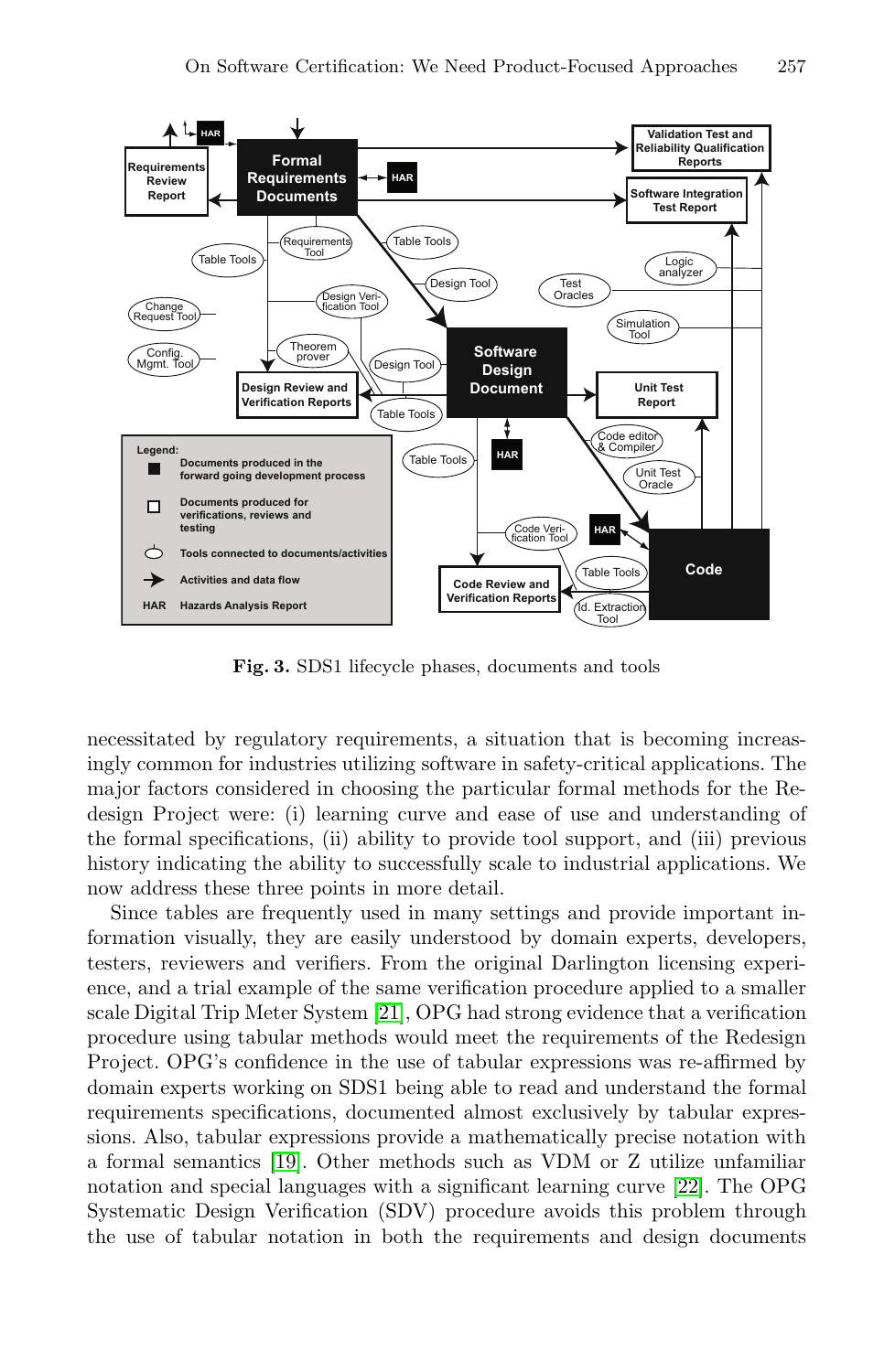

<span id="page-7-0"></span>**Fig. 3.** SDS1 lifecycle phases, documents and tools

necessitated by regulatory requirements, a situation that is becoming increasingly common for industries utilizing software in safety-critical applications. The major factors considered in choosing the particular formal methods for the Redesign Proje[ct w](#page-23-12)ere: (i) learning curve and ease of use and understanding of the formal specifications, (ii) ability to provide tool support, and (iii) previous history indicating the ability to successfully scale to industrial applications. We now address these three points in more detail.

Since tables are frequently used in many settings and provide important information visually, they are easily understood by domain experts, developers, t[este](#page-23-13)rs, reviewers and verifiers. From the original Darlington licensing experience, and a trial example of the same verificat[ion](#page-23-14) procedure applied to a smaller scale Digital Trip Meter System [21], OPG had strong evidence that a verification procedure using tabular methods would meet the requirements of the Redesign Project. OPG's confidence in the use of tabular expressions was re-affirmed by domain experts working on SDS1 being able to read and understand the formal requirements specifications, documented almost exclusively by tabular expressions. Also, tabular expressions provide a mathematically precise notation with a formal semantics [19]. Other methods such as VDM or Z utilize unfamiliar notation and special languages with a significant learning curve [22]. The OPG Systematic Design Verification (SDV) procedure avoids this problem through the use of tabular notation in both the requirements and design documents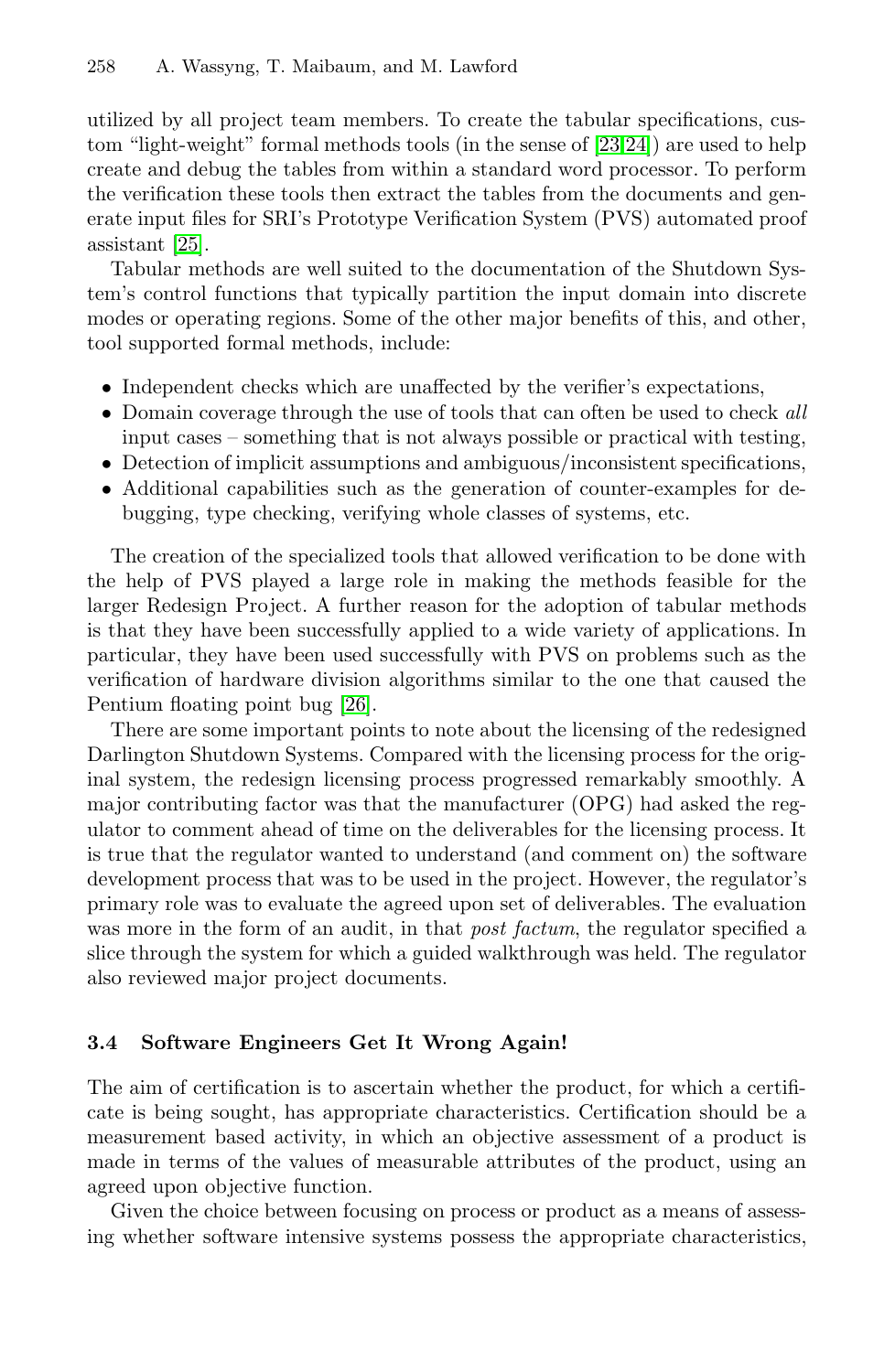utilized by all project team members. To create the tabular specifications, custom "light-weight" formal methods tools (in the sense of [23,24]) are used to help create and debug the tables from within a standard word processor. To perform the verification these tools then extract the tables from the documents and generate input files for SRI's Prototype Verification System (PVS) automated proof assistant [25].

Tabular methods are well suited to the documentation of the Shutdown System's control functions that typically partition the input domain into discrete modes or operating regions. Some of the other major benefits of this, and other, tool supported formal methods, include:

- Independent checks which are unaffected by the verifier's expectations,
- *•* Domain coverage through the use of tools that can often be used to check *all* input cases – something that is not always possible or practical with testing,
- Detection of implicit assumptions and ambiguous/inconsistent specifications,
- Additional capabilities such as the generation of counter-examples for debugg[ing,](#page-23-15) type checking, verifying whole classes of systems, etc.

The creation of the specialized tools that allowed verification to be done with the help of PVS played a large role in making the methods feasible for the larger Redesign Project. A further reason for the adoption of tabular methods is that they have been successfully applied to a wide variety of applications. In particular, they have been used successfully with PVS on problems such as the verification of hardware division algorithms similar to the one that caused the Pentium floating point bug [26].

There are some important points to note about the licensing of the redesigned Darlington Shutdown Systems. Compared with the licensing process for the original system, the redesign licensing process progressed remarkably smoothly. A major contributing factor was that the manufacturer (OPG) had asked the regulator to comment ahead of time on the deliverables for the licensing process. It is true that the regulator wanted to understand (and comment on) the software development process that was to be used in the project. However, the regulator's primary role was to evaluate the agreed upon set of deliverables. The evaluation was more in the form of an audit, in that *post factum*, the regulator specified a slice through the system for which a guided walkthrough was held. The regulator also reviewed major project documents.

### **3.4 Software Engineers Get It Wrong Again!**

The aim of certification is to ascertain whether the product, for which a certificate is being sought, has appropriate characteristics. Certification should be a measurement based activity, in which an objective assessment of a product is made in terms of the values of measurable attributes of the product, using an agreed upon objective function.

Given the choice between focusing on process or product as a means of assessing whether software intensive systems possess the appropriate characteristics,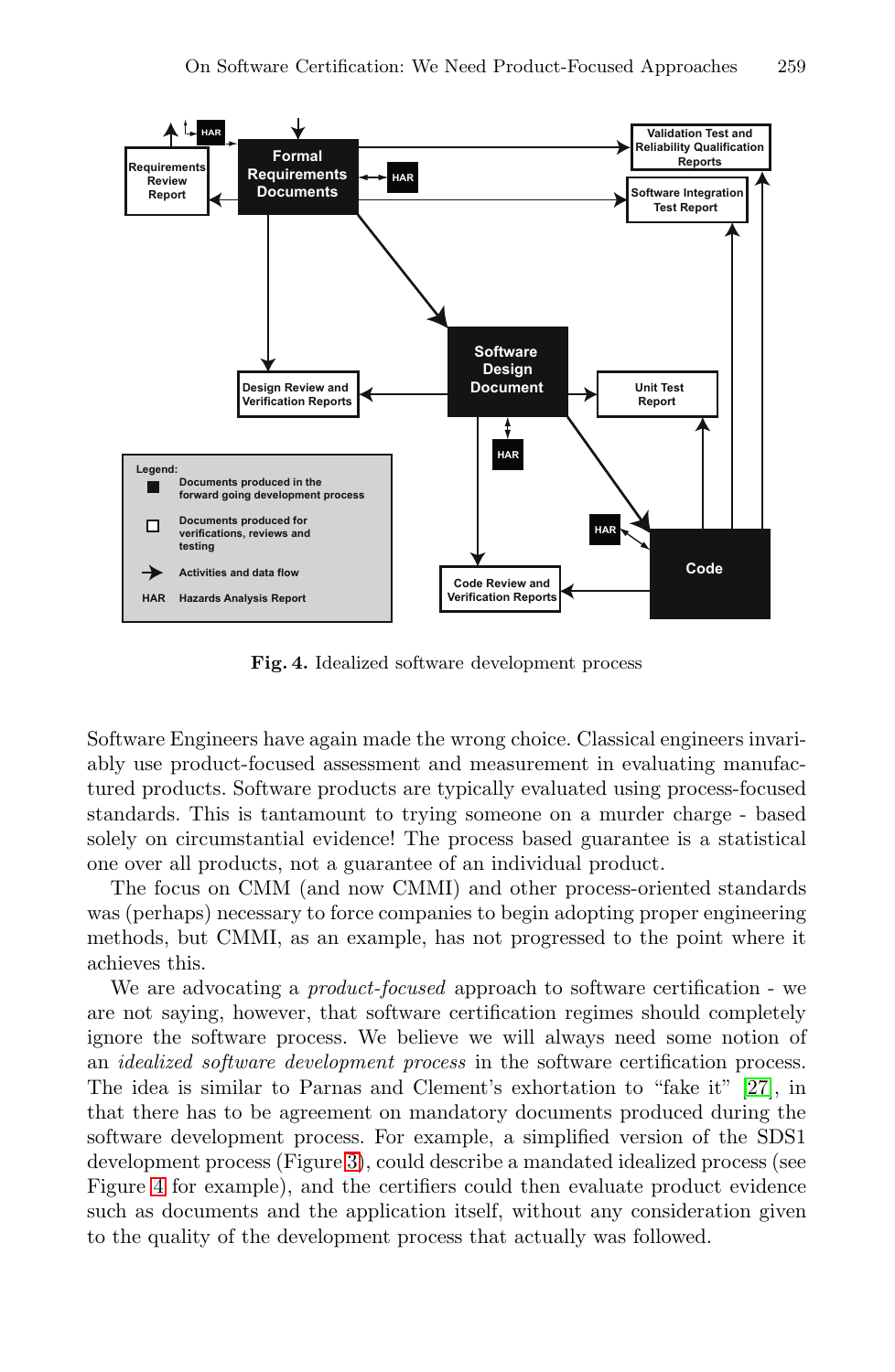

**Fig. 4.** Idealized software development process

Software Engineers have again made the wrong choice. Classical engineers invariably use product-focused assessment and measurement in evaluating manufactured products. Software products are typically evaluated using process-focused standards. This is tantamount to trying someone on a murder charge - based solely on circumstantial evidence! The process based guarantee is a statistical one over all products, not a guarantee of an individual product.

The focus on CMM (and now CMMI) and other [proc](#page-24-1)ess-oriented standards was (perhaps) necessary to force companies to begin adopting proper engineering methods, but CMMI, as an example, has not progressed to the point where it achieves [thi](#page-7-0)s.

We are advocating a *product-focused* approach to software certification - we are not saying, however, that software certification regimes should completely ignore the software process. We believe we will always need some notion of an *idealized software development process* in the software certification process. The idea is similar to Parnas and Clement's exhortation to "fake it" [27], in that there has to be agreement on mandatory documents produced during the software development process. For example, a simplified version of the SDS1 development process (Figure 3), could describe a mandated idealized process (see Figure 4 for example), and the certifiers could then evaluate product evidence such as documents and the application itself, without any consideration given to the quality of the development process that actually was followed.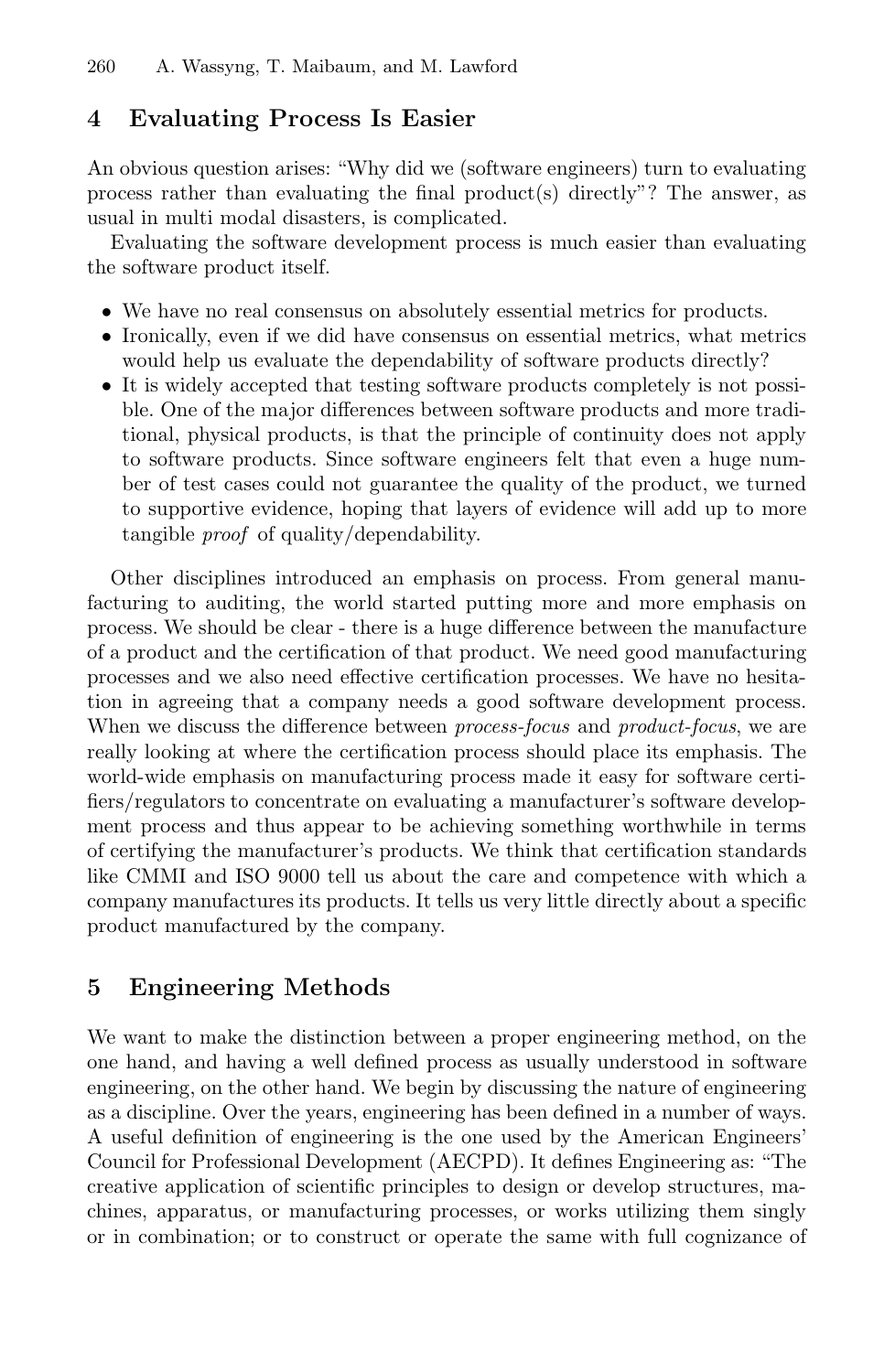# **4 Evaluating Process Is Easier**

An obvious question arises: "Why did we (software engineers) turn to evaluating process rather than evaluating the final product(s) directly"? The answer, as usual in multi modal disasters, is complicated.

Evaluating the software development process is much easier than evaluating the software product itself.

- We have no real consensus on absolutely essential metrics for products.
- Ironically, even if we did have consensus on essential metrics, what metrics would help us evaluate the dependability of software products directly?
- It is widely accepted that testing software products completely is not possible. One of the major differences between software products and more traditional, physical products, is that the principle of continuity does not apply to software products. Since software engineers felt that even a huge number of test cases could not guarantee the quality of the product, we turned to supportive evidence, hoping that layers of evidence will add up to more tangible *proof* of quality/dependability.

Other disciplines introduced an emphasis on process. From general manufacturing to auditing, the world started putting more and more emphasis on process. We should be clear - there is a huge difference between the manufacture of a product and the certification of that product. We need good manufacturing processes and we also need effective certification processes. We have no hesitation in agreeing that a company needs a good software development process. When we discuss the difference between *process-focus* and *product-focus*, we are really looking at where the certification process should place its emphasis. The world-wide emphasis on manufacturing process made it easy for software certifiers/regulators to concentrate on evaluating a manufacturer's software development process and thus appear to be achieving something worthwhile in terms of certifying the manufacturer's products. We think that certification standards like CMMI and ISO 9000 tell us about the care and competence with which a company manufactures its products. It tells us very little directly about a specific product manufactured by the company.

# **5 Engineering Methods**

We want to make the distinction between a proper engineering method, on the one hand, and having a well defined process as usually understood in software engineering, on the other hand. We begin by discussing the nature of engineering as a discipline. Over the years, engineering has been defined in a number of ways. A useful definition of engineering is the one used by the American Engineers' Council for Professional Development (AECPD). It defines Engineering as: "The creative application of scientific principles to design or develop structures, machines, apparatus, or manufacturing processes, or works utilizing them singly or in combination; or to construct or operate the same with full cognizance of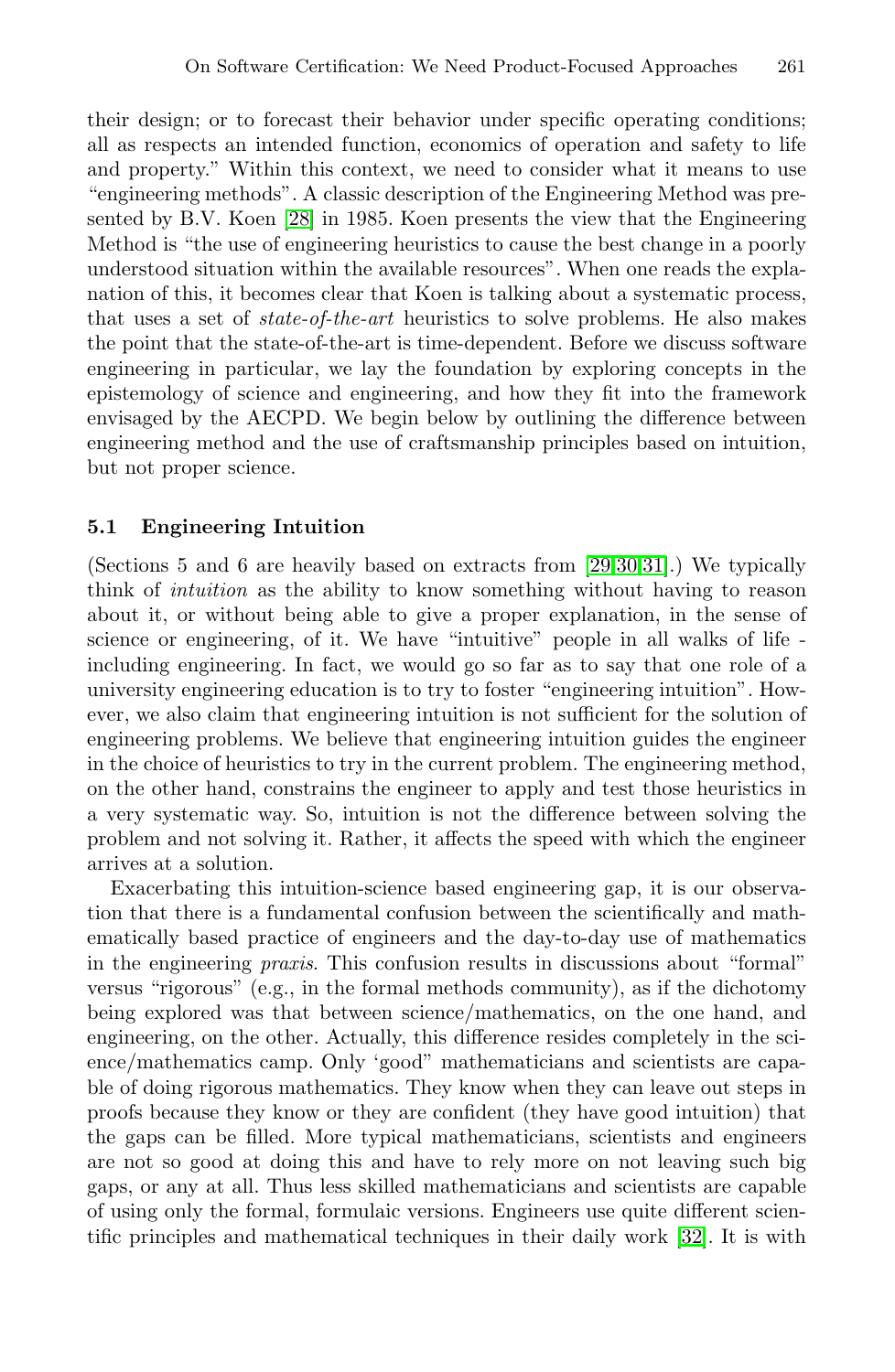their design; or to forecast their behavior under specific operating conditions; all as respects an intended function, economics of operation and safety to life and property." Within this context, we need to consider what it means to use "engineering methods". A classic description of the Engineering Method was presented by B.V. Koen [28] in 1985. Koen presents the view that the Engineering Method is "the use of engineering heuristics to cause the best change in a poorly understood situation within the available resources". When one reads the explanation of this, it becomes clear that Koen is talking about a systematic process, that uses a set of *state-of-the-art* heuristics to solve problems. He also makes the point that the state-of-the-art is time-dependent. Before we discuss software engineering in particular, we lay th[e f](#page-24-2)[ou](#page-24-3)[nda](#page-24-4)tion by exploring concepts in the epistemology of science and engineering, and how they fit into the framework envisaged by the AECPD. We begin below by outlining the difference between engineering method and the use of craftsmanship principles based on intuition, but not proper science.

### **5.1 Engineering Intuition**

(Sections 5 and 6 are heavily based on extracts from [29,30,31].) We typically think of *intuition* as the ability to know something without having to reason about it, or without being able to give a proper explanation, in the sense of science or engineering, of it. We have "intuitive" people in all walks of life including engineering. In fact, we would go so far as to say that one role of a university engineering education is to try to foster "engineering intuition". However, we also claim that engineering intuition is not sufficient for the solution of engineering problems. We believe that engineering intuition guides the engineer in the choice of heuristics to try in the current problem. The engineering method, on the other hand, constrains the engineer to apply and test those heuristics in a very systematic way. So, intuition is not the difference between solving the problem and not solving it. Rather, it affects the speed with which the engineer arrives at a solution.

Exacerbating this intuition-science based engineering gap, it is our observation that there is a fundamental confusion between the scientifically and mathematically based practice of engineers and the day-to-day use of mathematics in the engineering *praxis*. This confusion results in discussions about "formal" versus "rigorous" (e.g., in the formal methods community), as if the dichotomy being explored was that between science/mathematics, on the one hand, and engineering, on the other. Actually, this differ[ence](#page-24-5) resides completely in the science/mathematics camp. Only 'good" mathematicians and scientists are capable of doing rigorous mathematics. They know when they can leave out steps in proofs because they know or they are confident (they have good intuition) that the gaps can be filled. More typical mathematicians, scientists and engineers are not so good at doing this and have to rely more on not leaving such big gaps, or any at all. Thus less skilled mathematicians and scientists are capable of using only the formal, formulaic versions. Engineers use quite different scientific principles and mathematical techniques in their daily work [32]. It is with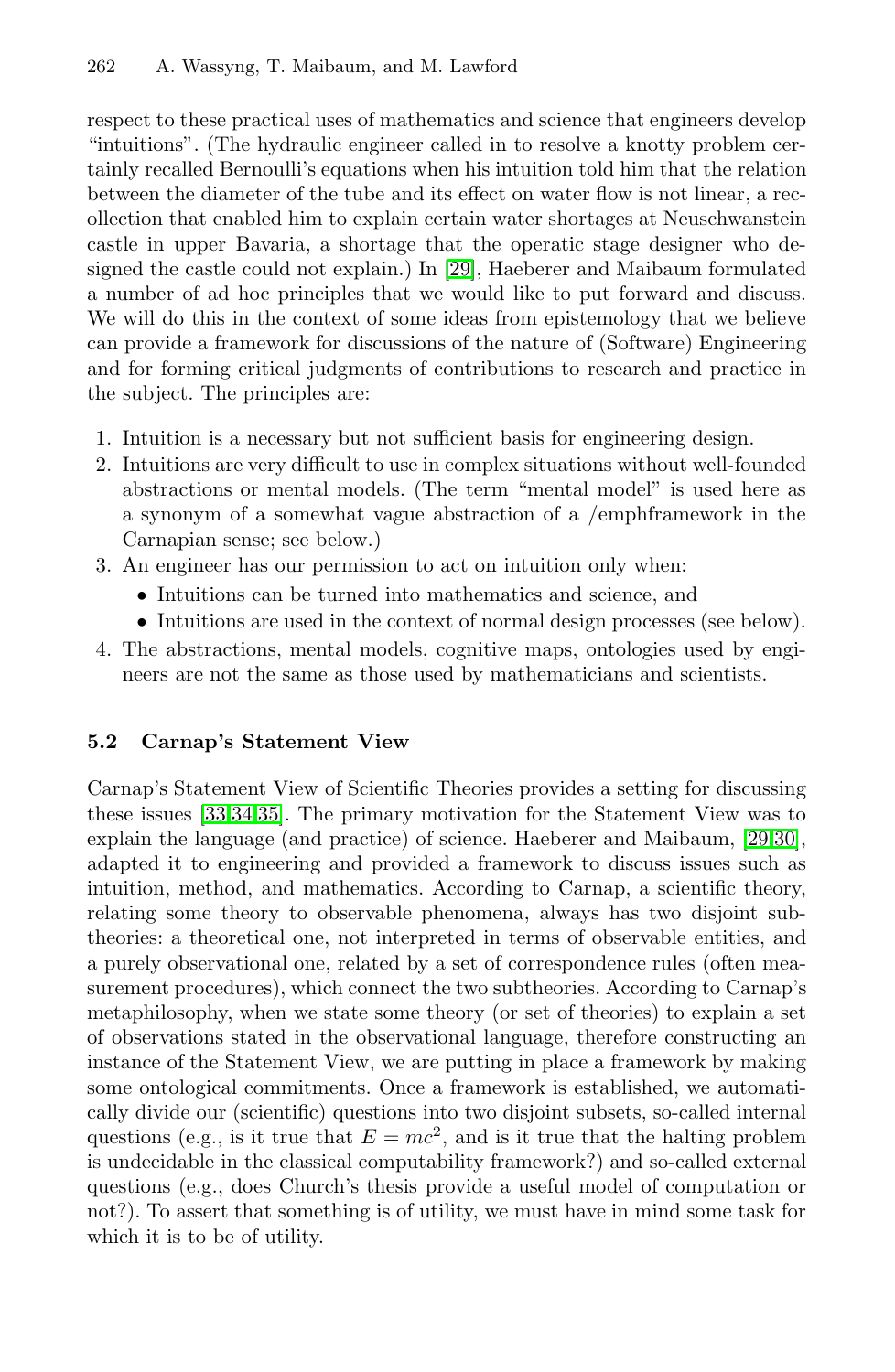respect to these practical uses of mathematics and science that engineers develop "intuitions". (The hydraulic engineer called in to resolve a knotty problem certainly recalled Bernoulli's equations when his intuition told him that the relation between the diameter of the tube and its effect on water flow is not linear, a recollection that enabled him to explain certain water shortages at Neuschwanstein castle in upper Bavaria, a shortage that the operatic stage designer who designed the castle could not explain.) In [29], Haeberer and Maibaum formulated a number of ad hoc principles that we would like to put forward and discuss. We will do this in the context of some ideas from epistemology that we believe can provide a framework for discussions of the nature of (Software) Engineering and for forming critical judgments of contributions to research and practice in the subject. The principles are:

- 1. Intuition is a necessary but not sufficient basis for engineering design.
- 2. Intuitions are very difficult to use in complex situations without well-founded abstractions or mental models. (The term "mental model" is used here as a synonym of a somewhat vague abstraction of a /emphframework in the Carnapian sense; see below.)
- 3. An engineer has our permission to act on intuition only when:
	- *•* Intuitions can be turned into mathematics and science, and
	- Intuitions are used in the context of normal design processes (see below).
- 4. The abstractions, mental models, cognitive maps[, o](#page-24-2)[nto](#page-24-3)logies used by engineers are not the same as those used by mathematicians and scientists.

### **5.2 Carnap's Statement View**

Carnap's Statement View of Scientific Theories provides a setting for discussing these issues [33,34,35]. The primary motivation for the Statement View was to explain the language (and practice) of science. Haeberer and Maibaum, [29,30], adapted it to engineering and provided a framework to discuss issues such as intuition, method, and mathematics. According to Carnap, a scientific theory, relating some theory to observable phenomena, always has two disjoint subtheories: a theoretical one, not interpreted in terms of observable entities, and a purely observational one, related by a set of correspondence rules (often measurement procedures), which connect the two subtheories. According to Carnap's metaphilosophy, when we state some theory (or set of theories) to explain a set of observations stated in the observational language, therefore constructing an instance of the Statement View, we are putting in place a framework by making some ontological commitments. Once a framework is established, we automatically divide our (scientific) questions into two disjoint subsets, so-called internal questions (e.g., is it true that  $E = mc^2$ , and is it true that the halting problem is undecidable in the classical computability framework?) and so-called external questions (e.g., does Church's thesis provide a useful model of computation or not?). To assert that something is of utility, we must have in mind some task for which it is to be of utility.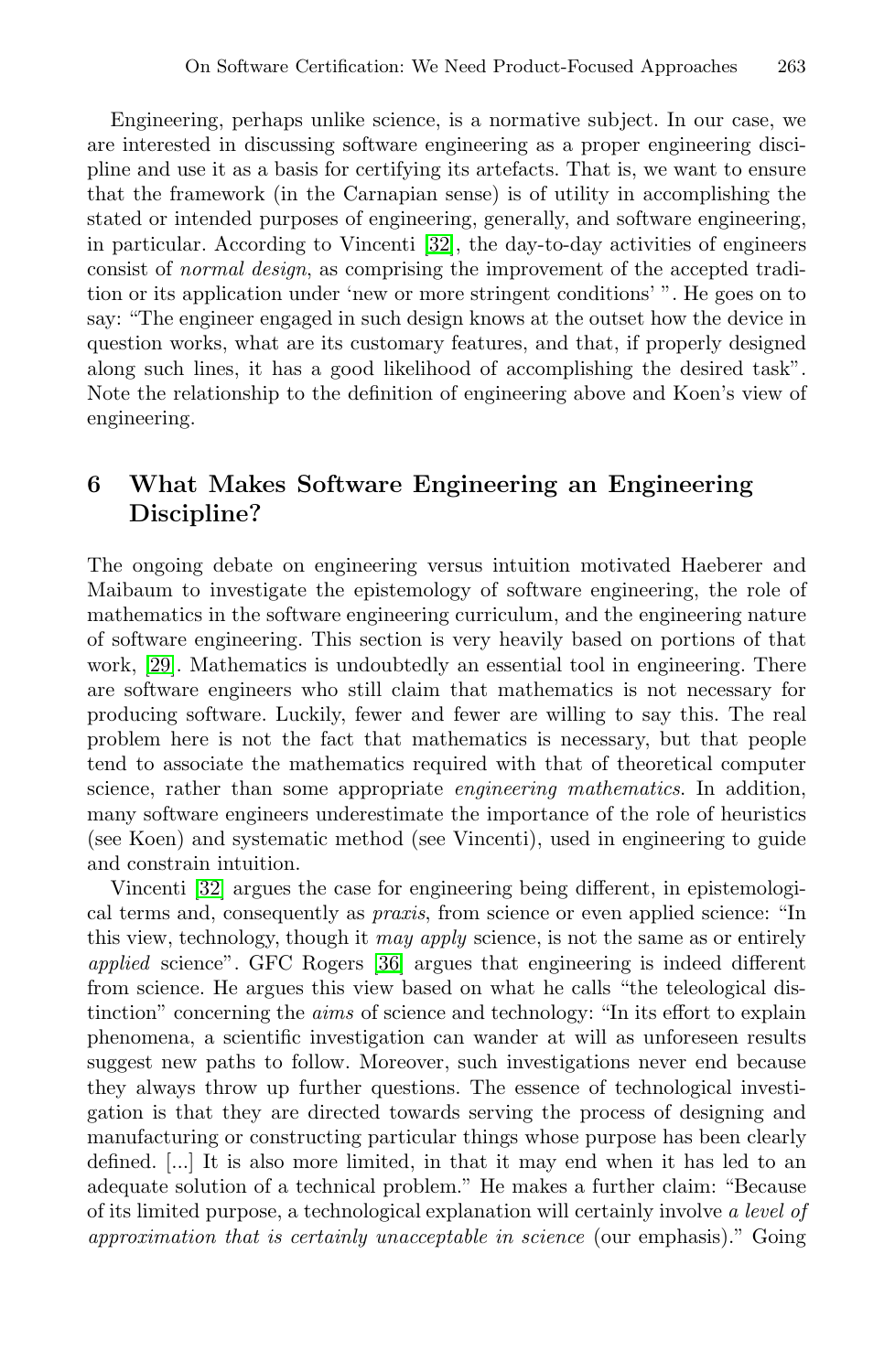Engineering, perhaps unlike science, is a normative subject. In our case, we are interested in discussing software engineering as a proper engineering discipline and use it as a basis for certifying its artefacts. That is, we want to ensure that the framework (in the Carnapian sense) is of utility in accomplishing the stated or intended purposes of engineering, generally, and software engineering, in particular. According to Vincenti [32], the day-to-day activities of engineers consist of *normal design*, as comprising the improvement of the accepted tradition or its application under 'new or more stringent conditions' ". He goes on to say: "The engineer engaged in such design knows at the outset how the device in question works, what are its customary features, and that, if properly designed along such lines, it has a good likelihood of accomplishing the desired task". Note the relationship to the definition of engineering above and Koen's view of engineering.

# **6 What Makes Software Engineering an Engineering Discipline?**

The ongoing debate on engineering versus intuition motivated Haeberer and Maibaum to investigate the epistemology of software engineering, the role of mathematics in the software engineering curriculum, and the engineering nature of software engineering. This section is very heavily based on portions of that work, [29]. Mathematics is undoubtedly an essential tool in engineering. There are software engineers who still claim that mathematics is not necessary for producing software. Luckily, fewer and fewer are willing to say this. The real problem here is not the fact that mathematics is necessary, but that people tend to asso[ciat](#page-24-6)e the mathematics required with that of theoretical computer science, rather than some appropriate *engineering mathematics*. In addition, many software engineers underestimate the importance of the role of heuristics (see Koen) and systematic method (see Vincenti), used in engineering to guide and constrain intuition.

Vincenti [32] argues the case for engineering being different, in epistemological terms and, consequently as *praxis*, from science or even applied science: "In this view, technology, though it *may apply* science, is not the same as or entirely *applied* science". GFC Rogers [36] argues that engineering is indeed different from science. He argues this view based on what he calls "the teleological distinction" concerning the *aims* of science and technology: "In its effort to explain phenomena, a scientific investigation can wander at will as unforeseen results suggest new paths to follow. Moreover, such investigations never end because they always throw up further questions. The essence of technological investigation is that they are directed towards serving the process of designing and manufacturing or constructing particular things whose purpose has been clearly defined. [...] It is also more limited, in that it may end when it has led to an adequate solution of a technical problem." He makes a further claim: "Because of its limited purpose, a technological explanation will certainly involve *a level of approximation that is certainly unacceptable in science* (our emphasis)." Going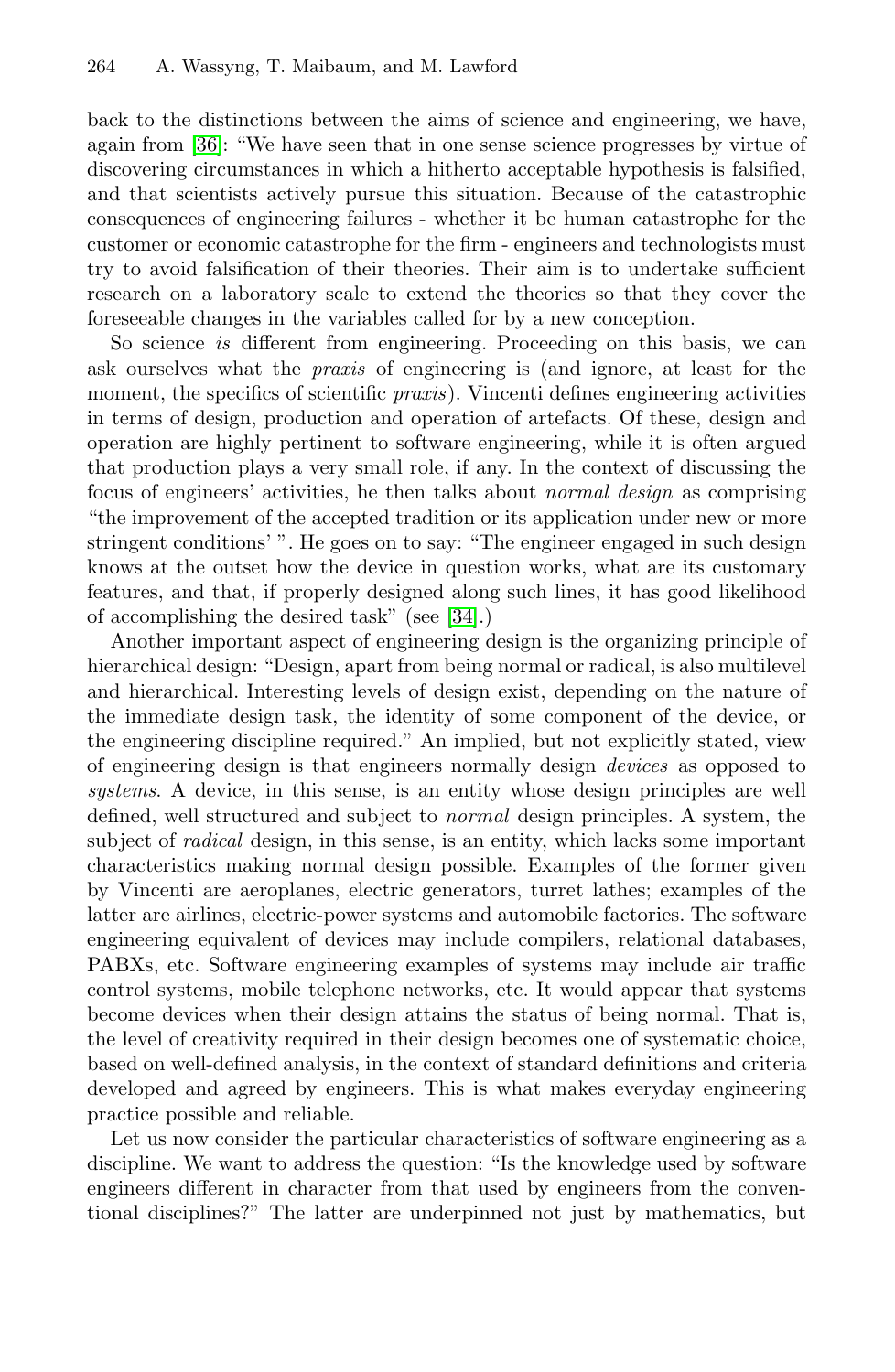back to the distinctions between the aims of science and engineering, we have, again from [36]: "We have seen that in one sense science progresses by virtue of discovering circumstances in which a hitherto acceptable hypothesis is falsified, and that scientists actively pursue this situation. Because of the catastrophic consequences of engineering failures - whether it be human catastrophe for the customer or economic catastrophe for the firm - engineers and technologists must try to avoid falsification of their theories. Their aim is to undertake sufficient research on a laboratory scale to extend the theories so that they cover the foreseeable changes in the variables called for by a new conception.

So science *is* different from engineering. Proceeding on this basis, we can ask ourselves what the *praxis* of engineering is (and ignore, at least for the moment, the specifics of scientific *praxis*). Vincenti defines engineering activities in terms of design, p[rod](#page-24-7)uction and operation of artefacts. Of these, design and operation are highly pertinent to software engineering, while it is often argued that production plays a very small role, if any. In the context of discussing the focus of engineers' activities, he then talks about *normal design* as comprising "the improvement of the accepted tradition or its application under new or more stringent conditions' ". He goes on to say: "The engineer engaged in such design knows at the outset how the device in question works, what are its customary features, and that, if properly designed along such lines, it has good likelihood of accomplishing the desired task" (see [34].)

Another important aspect of engineering design is the organizing principle of hierarchical design: "Design, apart from being normal or radical, is also multilevel and hierarchical. Interesting levels of design exist, depending on the nature of the immediate design task, the identity of some component of the device, or the engineering discipline required." An implied, but not explicitly stated, view of engineering design is that engineers normally design *devices* as opposed to *systems*. A device, in this sense, is an entity whose design principles are well defined, well structured and subject to *normal* design principles. A system, the subject of *radical* design, in this sense, is an entity, which lacks some important characteristics making normal design possible. Examples of the former given by Vincenti are aeroplanes, electric generators, turret lathes; examples of the latter are airlines, electric-power systems and automobile factories. The software engineering equivalent of devices may include compilers, relational databases, PABXs, etc. Software engineering examples of systems may include air traffic control systems, mobile telephone networks, etc. It would appear that systems become devices when their design attains the status of being normal. That is, the level of creativity required in their design becomes one of systematic choice, based on well-defined analysis, in the context of standard definitions and criteria developed and agreed by engineers. This is what makes everyday engineering practice possible and reliable.

Let us now consider the particular characteristics of software engineering as a discipline. We want to address the question: "Is the knowledge used by software engineers different in character from that used by engineers from the conventional disciplines?" The latter are underpinned not just by mathematics, but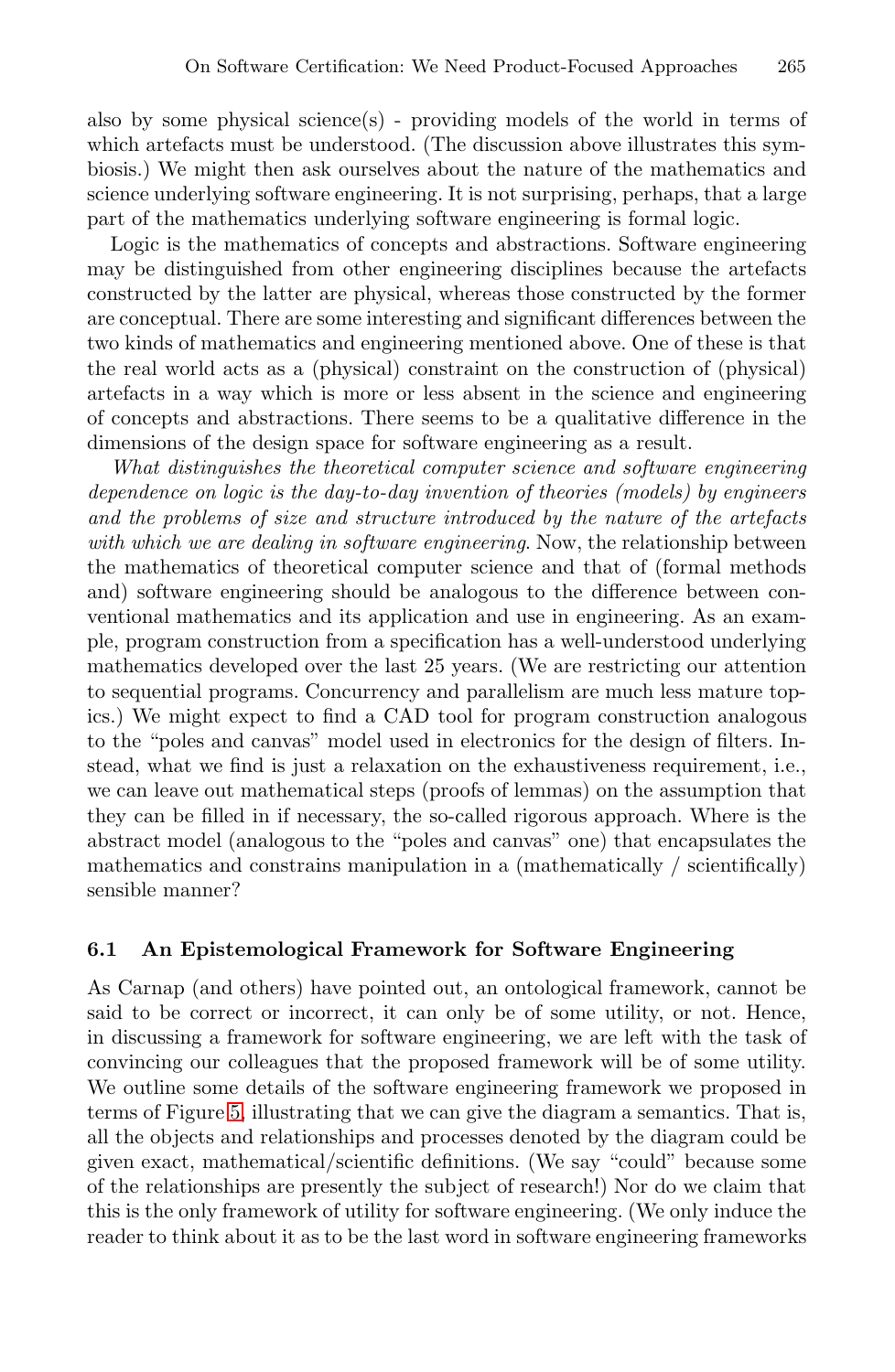also by some physical science(s) - providing models of the world in terms of which artefacts must be understood. (The discussion above illustrates this symbiosis.) We might then ask ourselves about the nature of the mathematics and science underlying software engineering. It is not surprising, perhaps, that a large part of the mathematics underlying software engineering is formal logic.

Logic is the mathematics of concepts and abstractions. Software engineering may be distinguished from other engineering disciplines because the artefacts constructed by the latter are physical, whereas those constructed by the former are conceptual. There are some interesting and significant differences between the two kinds of mathematics and engineering mentioned above. One of these is that the real world acts as a (physical) constraint on the construction of (physical) artefacts in a way which is more or less absent in the science and engineering of concepts and abstractions. There seems to be a qualitative difference in the dimensions of the design space for software engineering as a result.

*What distinguishes the theoretical computer science and software engineering dependence on logic is the day-to-day invention of theories (models) by engineers and the problems of size and structure introduced by the nature of the artefacts with which we are dealing in software engineering*. Now, the relationship between the mathematics of theoretical computer science and that of (formal methods and) software engineering should be analogous to the difference between conventional mathematics and its application and use in engineering. As an example, program construction from a specification has a well-understood underlying mathematics developed over the last 25 years. (We are restricting our attention to sequential programs. Concurrency and parallelism are much less mature topics.) We might expect to find a CAD tool for program construction analogous to the "poles and canvas" model used in electronics for the design of filters. Instead, what we find is just a relaxation on the exhaustiveness requirement, i.e., we can leave out mathematical steps (proofs of lemmas) on the assumption that they can be filled in if necessary, the so-called rigorous approach. Where is the abstract model (analogous to the "poles and canvas" one) that encapsulates the mathematics and constrains manipulation in a (mathematically / scientifically) sensible manner?

### **6.1 An Epistemological Framework for Software Engineering**

As Carnap (and others) have pointed out, an ontological framework, cannot be said to be correct or incorrect, it can only be of some utility, or not. Hence, in discussing a framework for software engineering, we are left with the task of convincing our colleagues that the proposed framework will be of some utility. We outline some details of the software engineering framework we proposed in terms of Figure 5, illustrating that we can give the diagram a semantics. That is, all the objects and relationships and processes denoted by the diagram could be given exact, mathematical/scientific definitions. (We say "could" because some of the relationships are presently the subject of research!) Nor do we claim that this is the only framework of utility for software engineering. (We only induce the reader to think about it as to be the last word in software engineering frameworks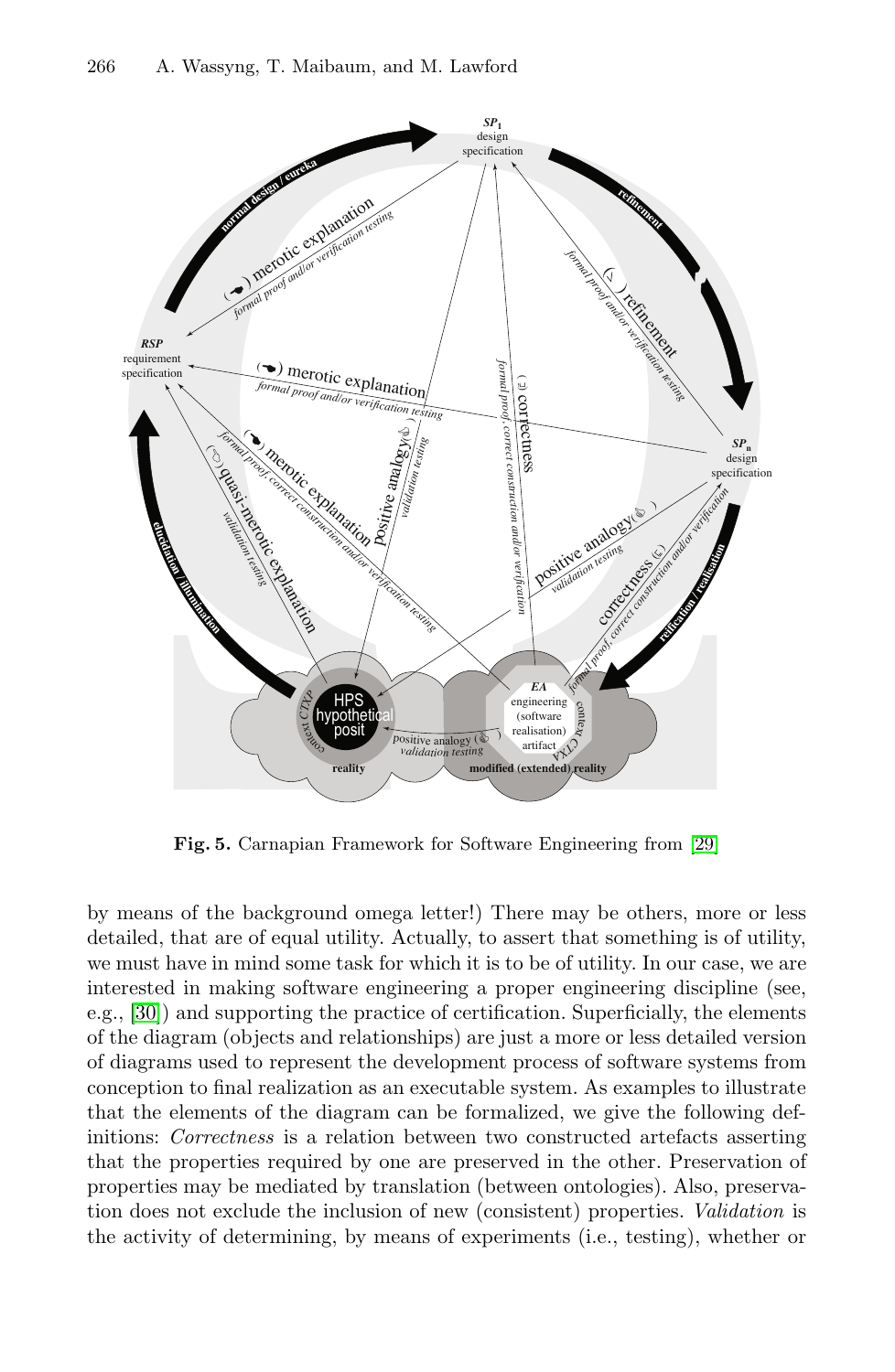

**Fig. 5.** Carnapian Framework for Software Engineering from [29]

by means of the background omega letter!) There may be others, more or less detailed, that are of equal utility. Actually, to assert that something is of utility, we must have in mind some task for which it is to be of utility. In our case, we are interested in making software engineering a proper engineering discipline (see, e.g., [30]) and supporting the practice of certification. Superficially, the elements of the diagram (objects and relationships) are just a more or less detailed version of diagrams used to represent the development process of software systems from conception to final realization as an executable system. As examples to illustrate that the elements of the diagram can be formalized, we give the following definitions: *Correctness* is a relation between two constructed artefacts asserting that the properties required by one are preserved in the other. Preservation of properties may be mediated by translation (between ontologies). Also, preservation does not exclude the inclusion of new (consistent) properties. *Validation* is the activity of determining, by means of experiments (i.e., testing), whether or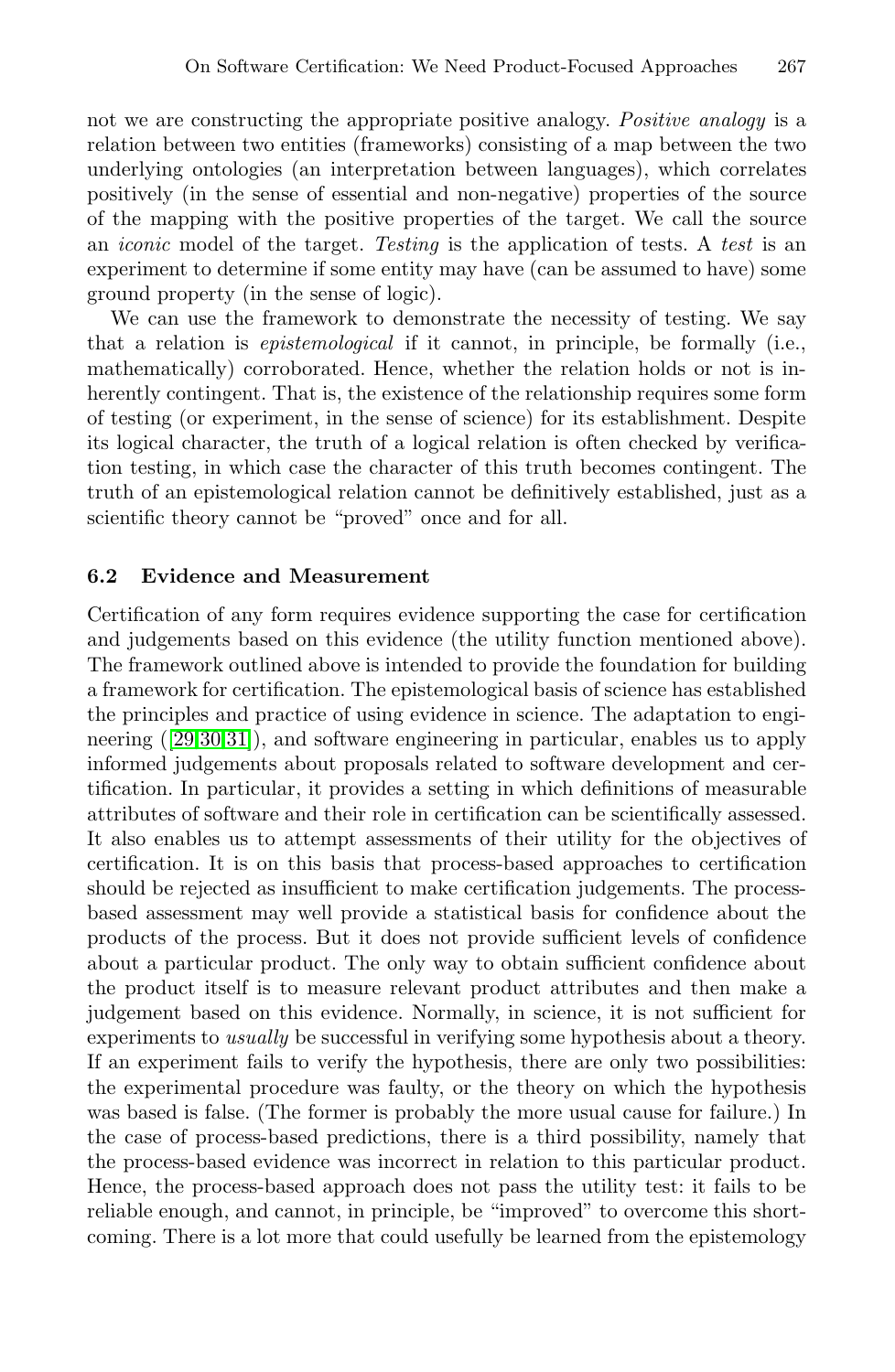not we are constructing the appropriate positive analogy. *Positive analogy* is a relation between two entities (frameworks) consisting of a map between the two underlying ontologies (an interpretation between languages), which correlates positively (in the sense of essential and non-negative) properties of the source of the mapping with the positive properties of the target. We call the source an *iconic* model of the target. *Testing* is the application of tests. A *test* is an experiment to determine if some entity may have (can be assumed to have) some ground property (in the sense of logic).

We can use the framework to demonstrate the necessity of testing. We say that a relation is *epistemological* if it cannot, in principle, be formally (i.e., mathematically) corroborated. Hence, whether the relation holds or not is inherently contingent. That is, the existence of the relationship requires some form of testing (or experiment, in the sense of science) for its establishment. Despite its logical character, the truth of a logical relation is often checked by verification testing, in which case the character of this truth becomes contingent. The truth of an epistemological relation cannot be definitively established, just as a scientific theory cannot be "proved" once and for all.

### **6.2 Evidence and Measurement**

Certification of any form requires evidence supporting the case for certification and judgements based on this evidence (the utility function mentioned above). The framework outlined above is intended to provide the foundation for building a framework for certification. The epistemological basis of science has established the principles and practice of using evidence in science. The adaptation to engineering ([29,30,31]), and software engineering in particular, enables us to apply informed judgements about proposals related to software development and certification. In particular, it provides a setting in which definitions of measurable attributes of software and their role in certification can be scientifically assessed. It also enables us to attempt assessments of their utility for the objectives of certification. It is on this basis that process-based approaches to certification should be rejected as insufficient to make certification judgements. The processbased assessment may well provide a statistical basis for confidence about the products of the process. But it does not provide sufficient levels of confidence about a particular product. The only way to obtain sufficient confidence about the product itself is to measure relevant product attributes and then make a judgement based on this evidence. Normally, in science, it is not sufficient for experiments to *usually* be successful in verifying some hypothesis about a theory. If an experiment fails to verify the hypothesis, there are only two possibilities: the experimental procedure was faulty, or the theory on which the hypothesis was based is false. (The former is probably the more usual cause for failure.) In the case of process-based predictions, there is a third possibility, namely that the process-based evidence was incorrect in relation to this particular product. Hence, the process-based approach does not pass the utility test: it fails to be reliable enough, and cannot, in principle, be "improved" to overcome this shortcoming. There is a lot more that could usefully be learned from the epistemology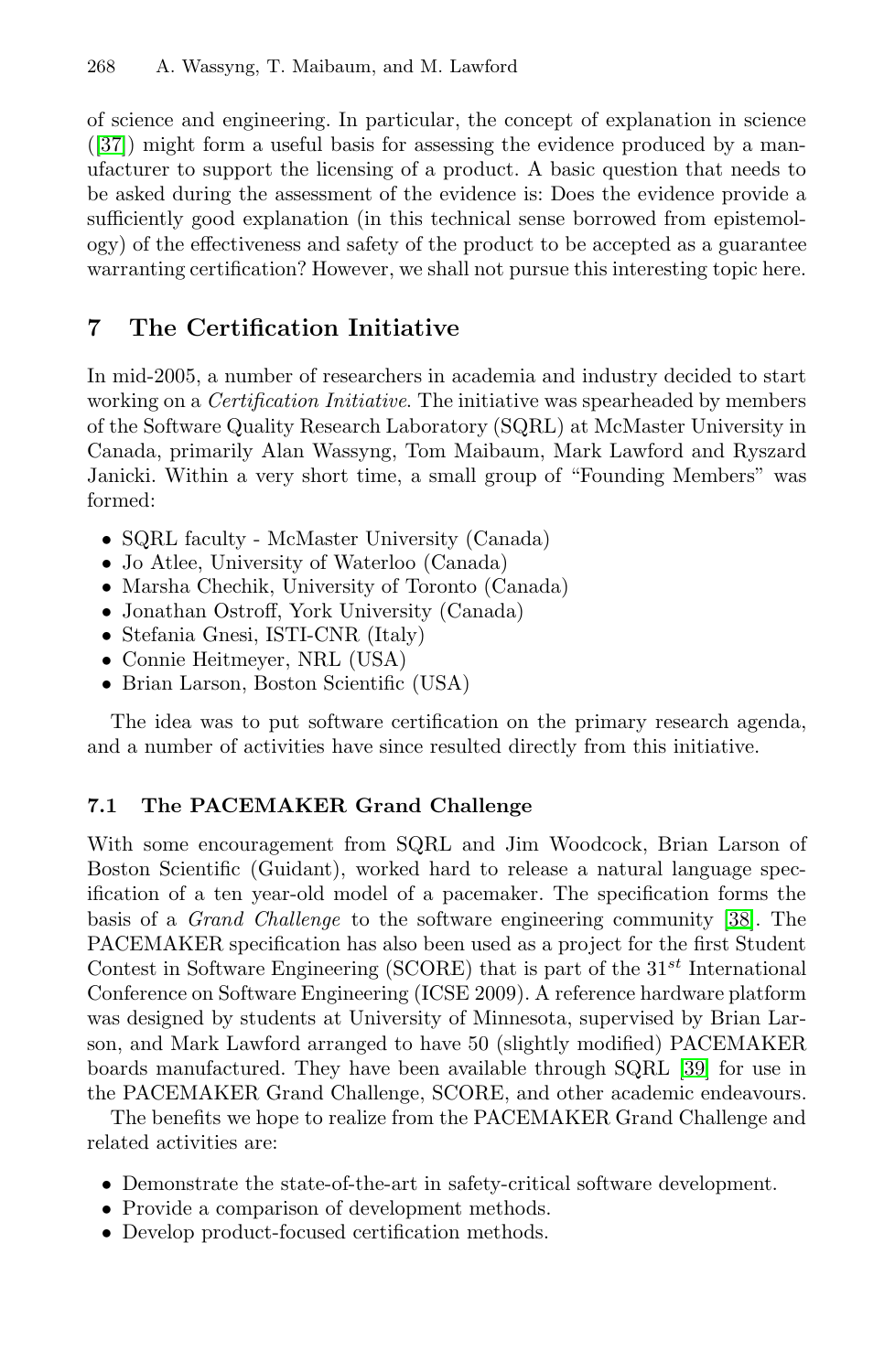of science and engineering. In particular, the concept of explanation in science ([37]) might form a useful basis for assessing the evidence produced by a manufacturer to support the licensing of a product. A basic question that needs to be asked during the assessment of the evidence is: Does the evidence provide a sufficiently good explanation (in this technical sense borrowed from epistemology) of the effectiveness and safety of the product to be accepted as a guarantee warranting certification? However, we shall not pursue this interesting topic here.

# **7 The Certification Initiative**

In mid-2005, a number of researchers in academia and industry decided to start working on a *Certification Initiative*. The initiative was spearheaded by members of the Software Quality Research Laboratory (SQRL) at McMaster University in Canada, primarily Alan Wassyng, Tom Maibaum, Mark Lawford and Ryszard Janicki. Within a very short time, a small group of "Founding Members" was formed:

- *•* SQRL faculty McMaster University (Canada)
- *•* Jo Atlee, University of Waterloo (Canada)
- *•* Marsha Chechik, University of Toronto (Canada)
- *•* Jonathan Ostroff, York University (Canada)
- Stefania Gnesi, ISTI-CNR (Italy)
- *•* Connie Heitmeyer, NRL (USA)
- *•* Brian Larson, Boston Scientific (USA)

The idea was to put software certification on t[he p](#page-24-8)rimary research agenda, and a number of activities have since resulted directly from this initiative.

### **7.1 The PACEMAKER Grand Challenge**

With some encouragement from SQRL and Jim Woodcock, Brian Larson of Boston Scientific (Guidant), worked hard to [rele](#page-24-9)ase a natural language specification of a ten year-old model of a pacemaker. The specification forms the basis of a *Grand Challenge* to the software engineering community [38]. The PACEMAKER specification has also been used as a project for the first Student Contest in Software Engineering (SCORE) that is part of the 31*st* International Conference on Software Engineering (ICSE 2009). A reference hardware platform was designed by students at University of Minnesota, supervised by Brian Larson, and Mark Lawford arranged to have 50 (slightly modified) PACEMAKER boards manufactured. They have been available through SQRL [39] for use in the PACEMAKER Grand Challenge, SCORE, and other academic endeavours.

The benefits we hope to realize from the PACEMAKER Grand Challenge and related activities are:

- *•* Demonstrate the state-of-the-art in safety-critical software development.
- *•* Provide a comparison of development methods.
- Develop product-focused certification methods.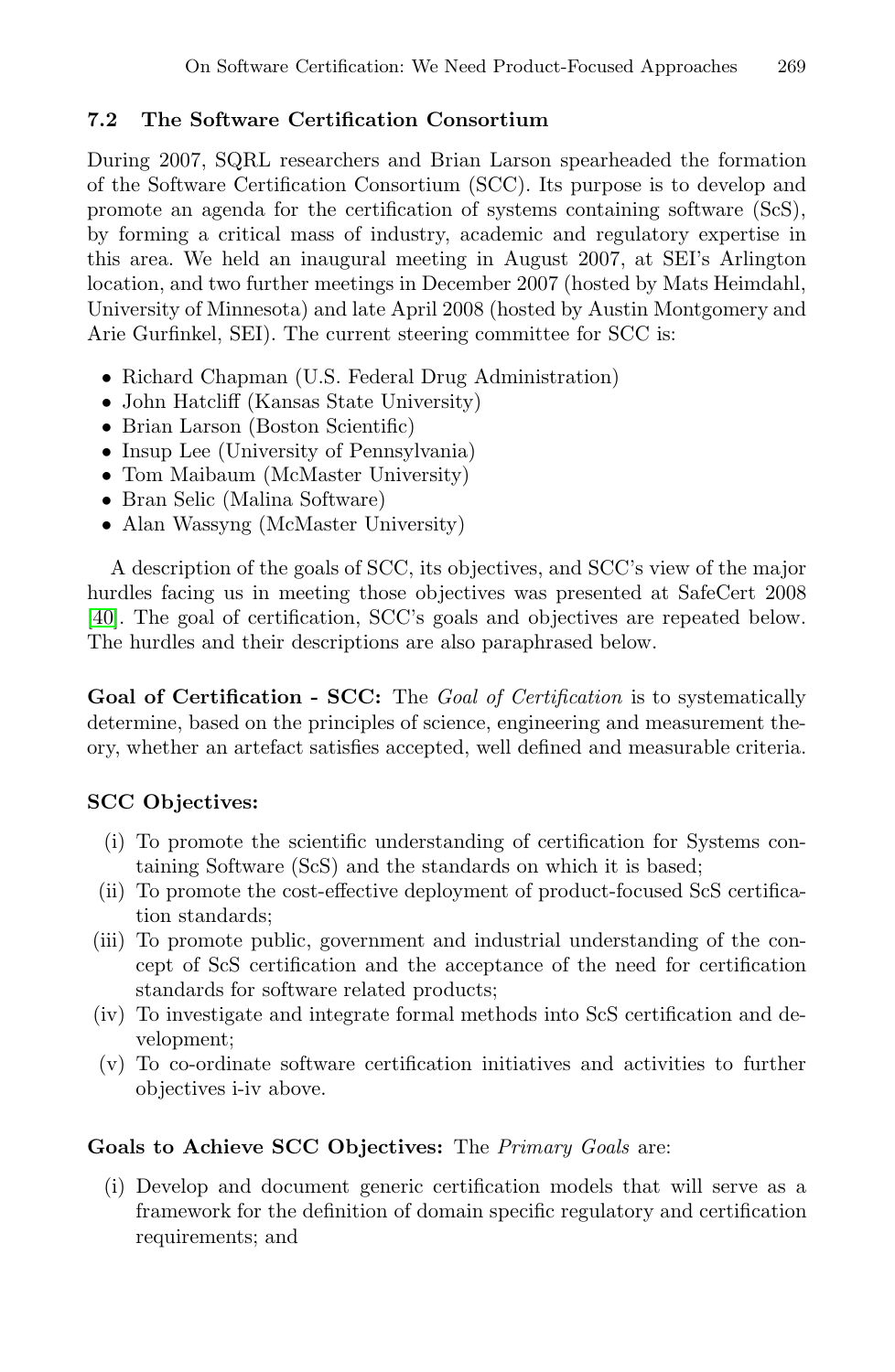### **7.2 The Software Certification Consortium**

During 2007, SQRL researchers and Brian Larson spearheaded the formation of the Software Certification Consortium (SCC). Its purpose is to develop and promote an agenda for the certification of systems containing software (ScS), by forming a critical mass of industry, academic and regulatory expertise in this area. We held an inaugural meeting in August 2007, at SEI's Arlington location, and two further meetings in December 2007 (hosted by Mats Heimdahl, University of Minnesota) and late April 2008 (hosted by Austin Montgomery and Arie Gurfinkel, SEI). The current steering committee for SCC is:

- *•* Richard Chapman (U.S. Federal Drug Administration)
- John Hatcliff (Kansas State University)
- Brian Larson (Boston Scientific)
- *•* Insup Lee (University of Pennsylvania)
- *•* Tom Maibaum (McMaster University)
- *•* Bran Selic (Malina Software)
- *•* Alan Wassyng (McMaster University)

A description of the goals of SCC, its objectives, and SCC's view of the major hurdles facing us in meeting those objectives was presented at SafeCert 2008 [40]. The goal of certification, SCC's goals and objectives are repeated below. The hurdles and their descriptions are also paraphrased below.

**Goal of Certification - SCC:** The *Goal of Certification* is to systematically determine, based on the principles of science, engineering and measurement theory, whether an artefact satisfies accepted, well defined and measurable criteria.

### **SCC Objectives:**

- (i) To promote the scientific understanding of certification for Systems containing Software (ScS) and the standards on which it is based;
- (ii) To promote the cost-effective deployment of product-focused ScS certification standards;
- (iii) To promote public, government and industrial understanding of the concept of ScS certification and the acceptance of the need for certification standards for software related products;
- (iv) To investigate and integrate formal methods into ScS certification and development;
- (v) To co-ordinate software certification initiatives and activities to further objectives i-iv above.

### **Goals to Achieve SCC Objectives:** The *Primary Goals* are:

(i) Develop and document generic certification models that will serve as a framework for the definition of domain specific regulatory and certification requirements; and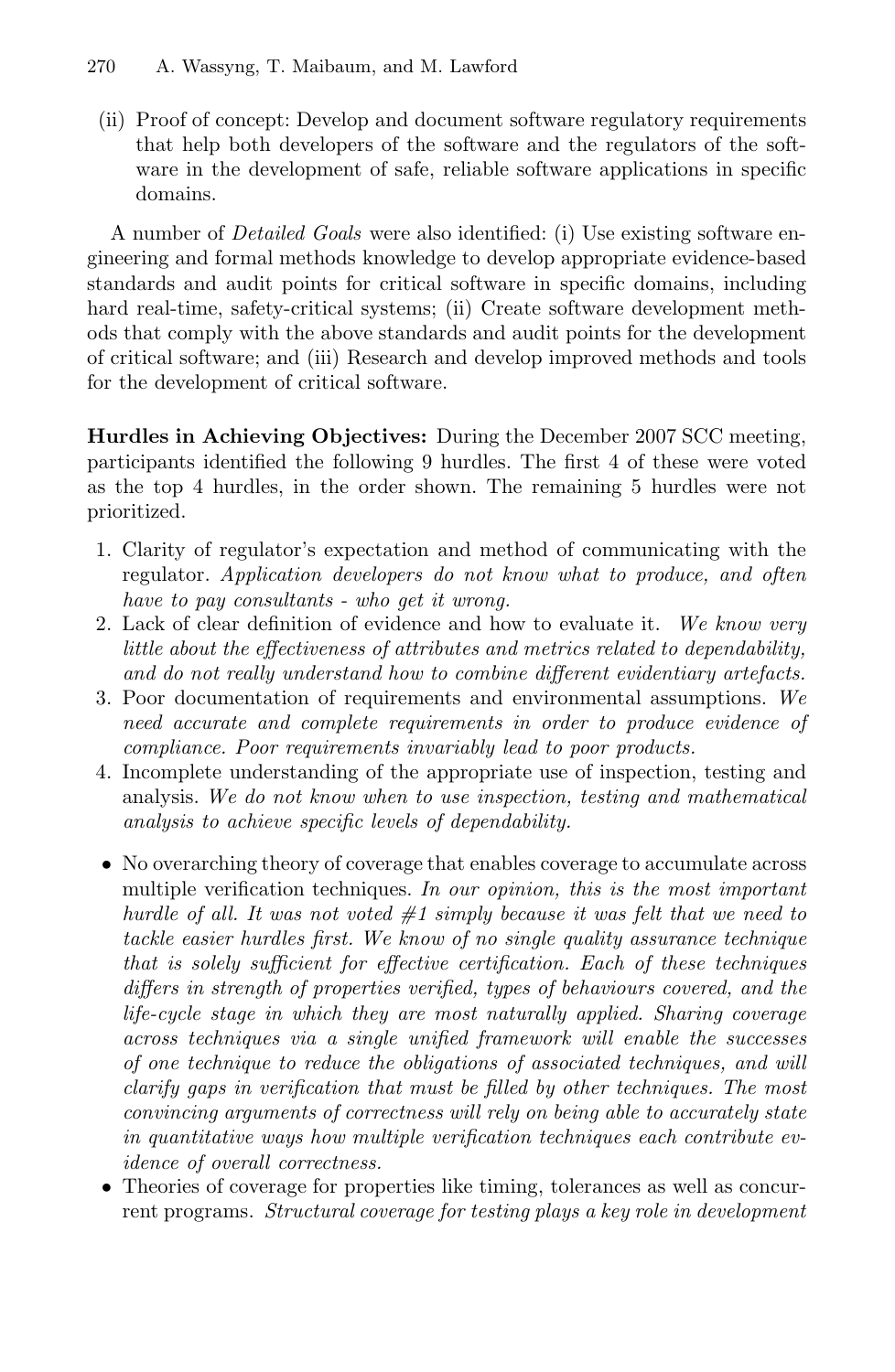(ii) Proof of concept: Develop and document software regulatory requirements that help both developers of the software and the regulators of the software in the development of safe, reliable software applications in specific domains.

A number of *Detailed Goals* were also identified: (i) Use existing software engineering and formal methods knowledge to develop appropriate evidence-based standards and audit points for critical software in specific domains, including hard real-time, safety-critical systems; (ii) Create software development methods that comply with the above standards and audit points for the development of critical software; and (iii) Research and develop improved methods and tools for the development of critical software.

**Hurdles in Achieving Objectives:** During the December 2007 SCC meeting, participants identified the following 9 hurdles. The first 4 of these were voted as the top 4 hurdles, in the order shown. The remaining 5 hurdles were not prioritized.

- 1. Clarity of regulator's expectation and method of communicating with the regulator. *Application developers do not know what to produce, and often have to pay consultants - who get it wrong.*
- 2. Lack of clear definition of evidence and how to evaluate it. *We know very little about the effectiveness of attributes and metrics related to dependability, and do not really understand how to combine different evidentiary artefacts.*
- 3. Poor documentation of requirements and environmental assumptions. *We need accurate and complete requirements in order to produce evidence of compliance. Poor requirements invariably lead to poor products.*
- 4. Incomplete understanding of the appropriate use of inspection, testing and analysis. *We do not know when to use inspection, testing and mathematical analysis to achieve specific levels of dependability.*
- No overarching theory of coverage that enables coverage to accumulate across multiple verification techniques. *In our opinion, this is the most important hurdle of all. It was not voted #1 simply because it was felt that we need to tackle easier hurdles first. We know of no single quality assurance technique that is solely sufficient for effective certification. Each of these techniques differs in strength of properties verified, types of behaviours covered, and the life-cycle stage in which they are most naturally applied. Sharing coverage across techniques via a single unified framework will enable the successes of one technique to reduce the obligations of associated techniques, and will clarify gaps in verification that must be filled by other techniques. The most convincing arguments of correctness will rely on being able to accurately state in quantitative ways how multiple verification techniques each contribute evidence of overall correctness.*
- Theories of coverage for properties like timing, tolerances as well as concurrent programs. *Structural coverage for testing plays a key role in development*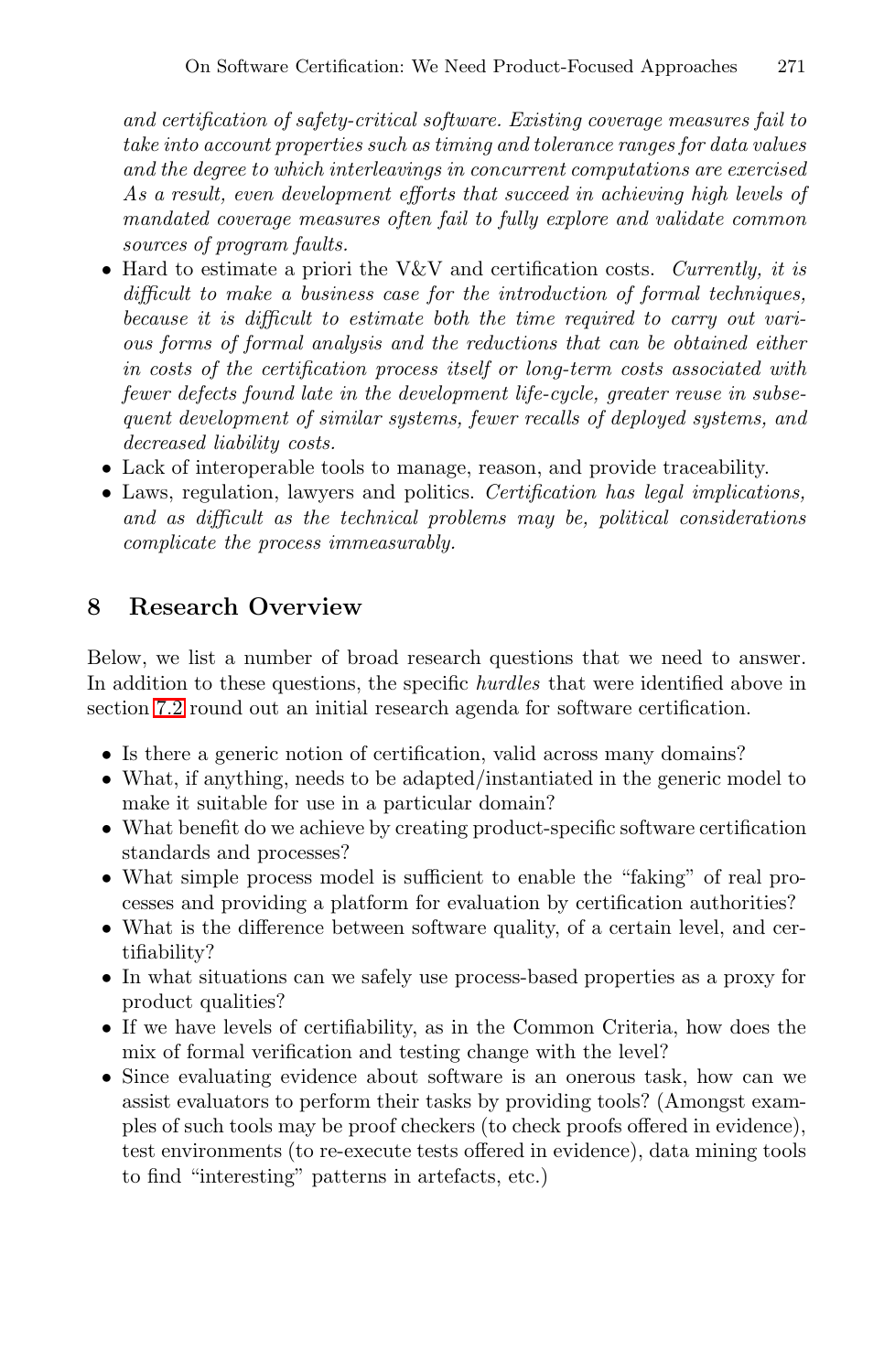*and certification of safety-critical software. Existing coverage measures fail to take into account properties such as timing and tolerance ranges for data values and the degree to which interleavings in concurrent computations are exercised As a result, even development efforts that succeed in achieving high levels of mandated coverage measures often fail to fully explore and validate common sources of program faults.*

- *•* Hard to estimate a priori the V&V and certification costs. *Currently, it is difficult to make a business case for the introduction of formal techniques, because it is difficult to estimate both the time required to carry out various forms of formal analysis and the reductions that can be obtained either in costs of the certification process itself or long-term costs associated with fewer defects found late in the development life-cycle, greater reuse in subsequent development of similar systems, fewer recalls of deployed systems, and decreased liability costs.*
- *•* Lack of interoperable tools to manage, reason, and provide traceability.
- *•* Laws, regulation, lawyers and politics. *Certification has legal implications, and as difficult as the technical problems may be, political considerations complicate the process immeasurably.*

# **8 Research Overview**

Below, we list a number of broad research questions that we need to answer. In addition to these questions, the specific *hurdles* that were identified above in section 7.2 round out an initial research agenda for software certification.

- Is there a generic notion of certification, valid across many domains?
- What, if anything, needs to be adapted/instantiated in the generic model to make it suitable for use in a particular domain?
- *•* What benefit do we achieve by creating product-specific software certification standards and processes?
- What simple process model is sufficient to enable the "faking" of real processes and providing a platform for evaluation by certification authorities?
- What is the difference between software quality, of a certain level, and certifiability?
- *•* In what situations can we safely use process-based properties as a proxy for product qualities?
- If we have levels of certifiability, as in the Common Criteria, how does the mix of formal verification and testing change with the level?
- *•* Since evaluating evidence about software is an onerous task, how can we assist evaluators to perform their tasks by providing tools? (Amongst examples of such tools may be proof checkers (to check proofs offered in evidence), test environments (to re-execute tests offered in evidence), data mining tools to find "interesting" patterns in artefacts, etc.)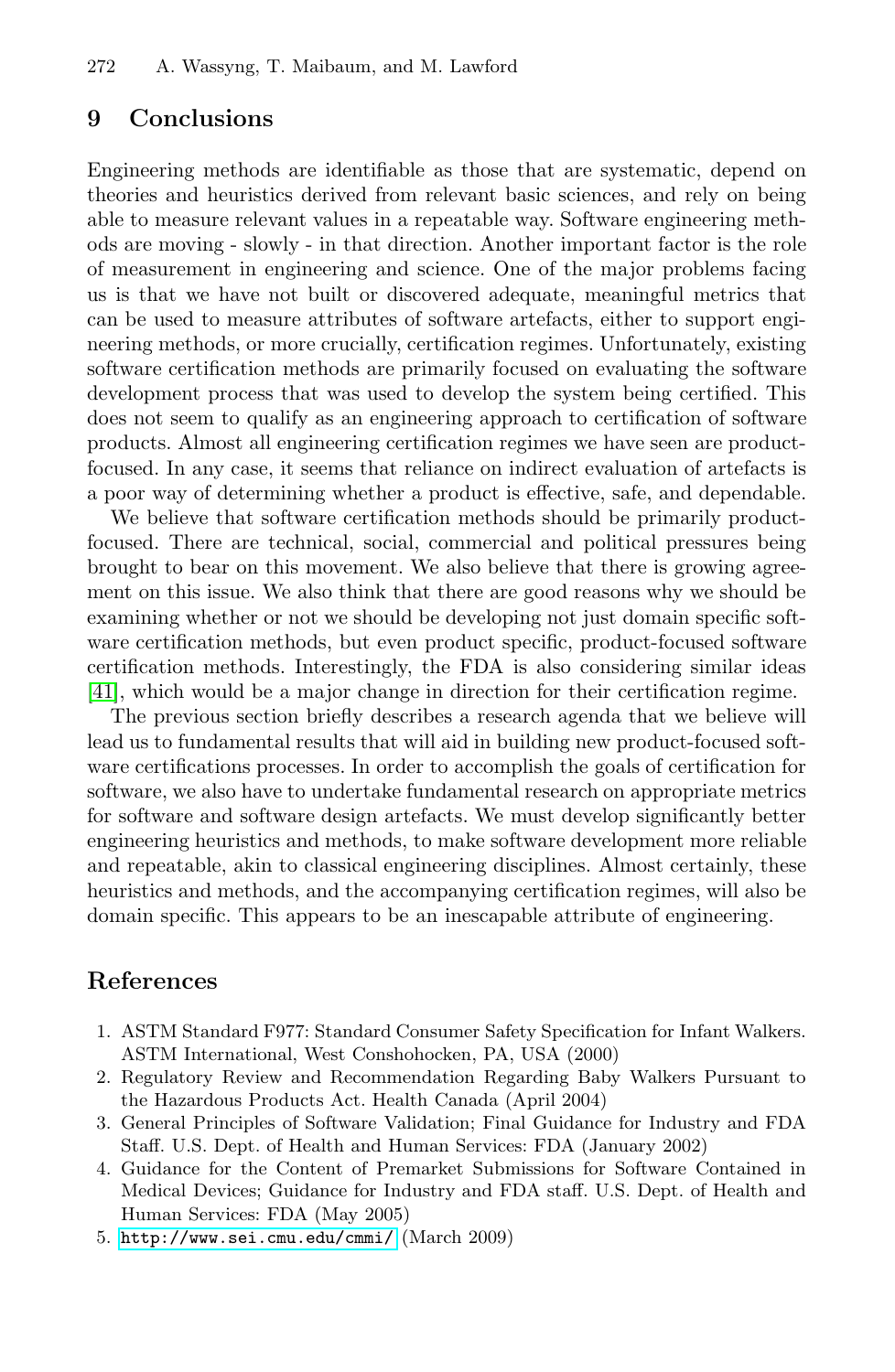# **9 Conclusions**

Engineering methods are identifiable as those that are systematic, depend on theories and heuristics derived from relevant basic sciences, and rely on being able to measure relevant values in a repeatable way. Software engineering methods are moving - slowly - in that direction. Another important factor is the role of measurement in engineering and science. One of the major problems facing us is that we have not built or discovered adequate, meaningful metrics that can be used to measure attributes of software artefacts, either to support engineering methods, or more crucially, certification regimes. Unfortunately, existing software certification methods are primarily focused on evaluating the software development process that was used to develop the system being certified. This does not seem to qualify as an engineering approach to certification of software products. Almost all engineering certification regimes we have seen are productfocused. In any case, it seems that reliance on indirect evaluation of artefacts is a poor way of determining whether a product is effective, safe, and dependable.

We believe that software certification methods should be primarily productfocused. There are technical, social, commercial and political pressures being brought to bear on this movement. We also believe that there is growing agreement on this issue. We also think that there are good reasons why we should be examining whether or not we should be developing not just domain specific software certification methods, but even product specific, product-focused software certification methods. Interestingly, the FDA is also considering similar ideas [41], which would be a major change in direction for their certification regime.

<span id="page-22-0"></span>The previous section briefly describes a research agenda that we believe will lead us to fundamental results that will aid in building new product-focused software certifications processes. In order to accomplish the goals of certification for software, we also have to undertake fundamental research on appropriate metrics for software and software design artefacts. We must develop significantly better engineering heuristics and methods, to make software development more reliable and repeatable, akin to classical engineering disciplines. Almost certainly, these heuristics and methods, and the accompanying certification regimes, will also be domain specific. This appears to be an inescapable attribute of engineering.

# <span id="page-22-4"></span><span id="page-22-3"></span><span id="page-22-2"></span><span id="page-22-1"></span>**References**

- 1. ASTM Standard F977: Standard Consumer Safety Specification for Infant Walkers. [ASTM](http://www.sei.cmu.edu/cmmi/) [Intern](http://www.sei.cmu.edu/cmmi/)ational, West Conshohocken, PA, USA (2000)
- 2. Regulatory Review and Recommendation Regarding Baby Walkers Pursuant to the Hazardous Products Act. Health Canada (April 2004)
- 3. General Principles of Software Validation; Final Guidance for Industry and FDA Staff. U.S. Dept. of Health and Human Services: FDA (January 2002)
- 4. Guidance for the Content of Premarket Submissions for Software Contained in Medical Devices; Guidance for Industry and FDA staff. U.S. Dept. of Health and Human Services: FDA (May 2005)
- 5. http://www.sei.cmu.edu/cmmi/ (March 2009)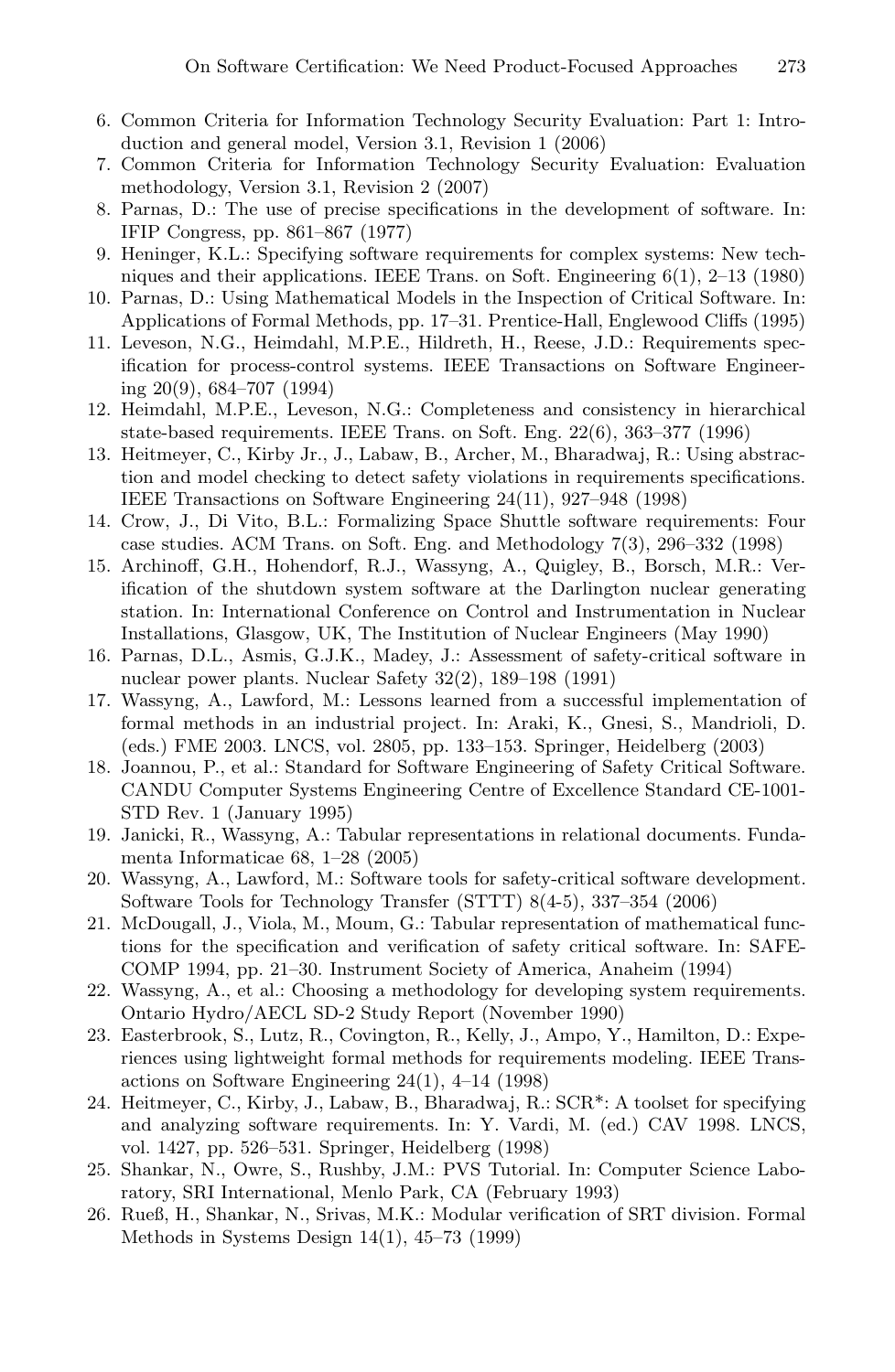- <span id="page-23-0"></span>6. Common Criteria for Information Technology Security Evaluation: Part 1: Introduction and general model, Version 3.1, Revision 1 (2006)
- 7. Common Criteria for Information Technology Security Evaluation: Evaluation methodology, Version 3.1, Revision 2 (2007)
- <span id="page-23-1"></span>8. Parnas, D.: The use of precise specifications in the development of software. In: IFIP Congress, pp. 861–867 (1977)
- <span id="page-23-2"></span>9. Heninger, K.L.: Specifying software requirements for complex systems: New techniques and their applications. IEEE Trans. on Soft. Engineering 6(1), 2–13 (1980)
- <span id="page-23-3"></span>10. Parnas, D.: Using Mathematical Models in the Inspection of Critical Software. In: Applications of Formal Methods, pp. 17–31. Prentice-Hall, Englewood Cliffs (1995)
- <span id="page-23-4"></span>11. Leveson, N.G., Heimdahl, M.P.E., Hildreth, H., Reese, J.D.: Requirements specification for process-control systems. IEEE Transactions on Software Engineering 20(9), 684–707 (1994)
- <span id="page-23-5"></span>12. Heimdahl, M.P.E., Leveson, N.G.: Completeness and consistency in hierarchical state-based requirements. IEEE Trans. on Soft. Eng. 22(6), 363–377 (1996)
- <span id="page-23-6"></span>13. Heitmeyer, C., Kirby Jr., J., Labaw, B., Archer, M., Bharadwaj, R.: Using abstraction and model checking to detect safety violations in requirements specifications. IEEE Transactions on Software Engineering 24(11), 927–948 (1998)
- <span id="page-23-7"></span>14. Crow, J., Di Vito, B.L.: Formalizing Space Shuttle software requirements: Four case studies. ACM Trans. on Soft. Eng. and Methodology 7(3), 296–332 (1998)
- <span id="page-23-8"></span>15. Archinoff, G.H., Hohendorf, R.J., Wassyng, A., Quigley, B., Borsch, M.R.: Verification of the shutdown system software at the Darlington nuclear generating station. In: International Conference on Control and Instrumentation in Nuclear Installations, Glasgow, UK, The Institution of Nuclear Engineers (May 1990)
- <span id="page-23-9"></span>16. Parnas, D.L., Asmis, G.J.K., Madey, J.: Assessment of safety-critical software in nuclear power plants. Nuclear Safety 32(2), 189–198 (1991)
- 17. Wassyng, A., Lawford, M.: Lessons learned from a successful implementation of formal methods in an industrial project. In: Araki, K., Gnesi, S., Mandrioli, D. (eds.) FME 2003. LNCS, vol. 2805, pp. 133–153. Springer, Heidelberg (2003)
- <span id="page-23-10"></span>18. Joannou, P., et al.: Standard for Software Engineering of Safety Critical Software. CANDU Computer Systems Engineering Centre of Excellence Standard CE-1001- STD Rev. 1 (January 1995)
- <span id="page-23-13"></span>19. Janicki, R., Wassyng, A.: Tabular representations in relational documents. Fundamenta Informaticae 68, 1–28 (2005)
- <span id="page-23-11"></span>20. Wassyng, A., Lawford, M.: Software tools for safety-critical software development. Software Tools for Technology Transfer (STTT) 8(4-5), 337–354 (2006)
- <span id="page-23-12"></span>21. McDougall, J., Viola, M., Moum, G.: Tabular representation of mathematical functions for the specification and verification of safety critical software. In: SAFE-COMP 1994, pp. 21–30. Instrument Society of America, Anaheim (1994)
- <span id="page-23-14"></span>22. Wassyng, A., et al.: Choosing a methodology for developing system requirements. Ontario Hydro/AECL SD-2 Study Report (November 1990)
- 23. Easterbrook, S., Lutz, R., Covington, R., Kelly, J., Ampo, Y., Hamilton, D.: Experiences using lightweight formal methods for requirements modeling. IEEE Transactions on Software Engineering 24(1), 4–14 (1998)
- 24. Heitmeyer, C., Kirby, J., Labaw, B., Bharadwaj, R.: SCR\*: A toolset for specifying and analyzing software requirements. In: Y. Vardi, M. (ed.) CAV 1998. LNCS, vol. 1427, pp. 526–531. Springer, Heidelberg (1998)
- 25. Shankar, N., Owre, S., Rushby, J.M.: PVS Tutorial. In: Computer Science Laboratory, SRI International, Menlo Park, CA (February 1993)
- <span id="page-23-15"></span>26. Rueß, H., Shankar, N., Srivas, M.K.: Modular verification of SRT division. Formal Methods in Systems Design 14(1), 45–73 (1999)